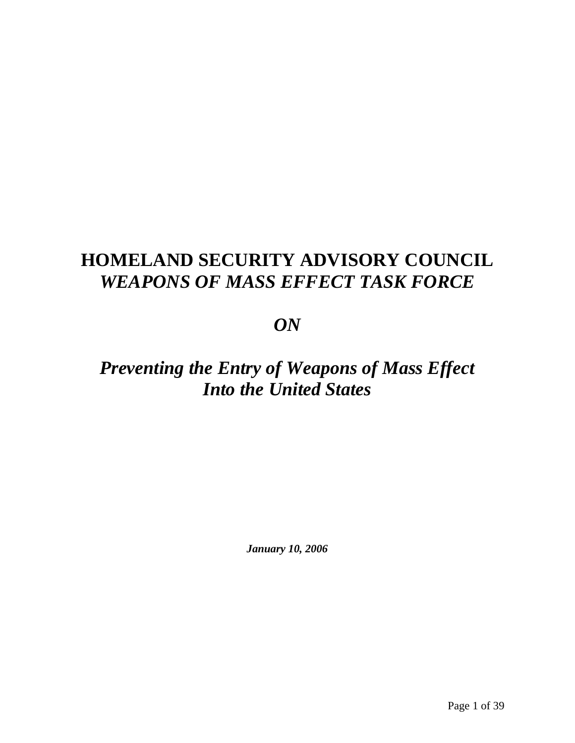# **HOMELAND SECURITY ADVISORY COUNCIL**  *WEAPONS OF MASS EFFECT TASK FORCE*

# *ON*

# *Preventing the Entry of Weapons of Mass Effect Into the United States*

*January 10, 2006*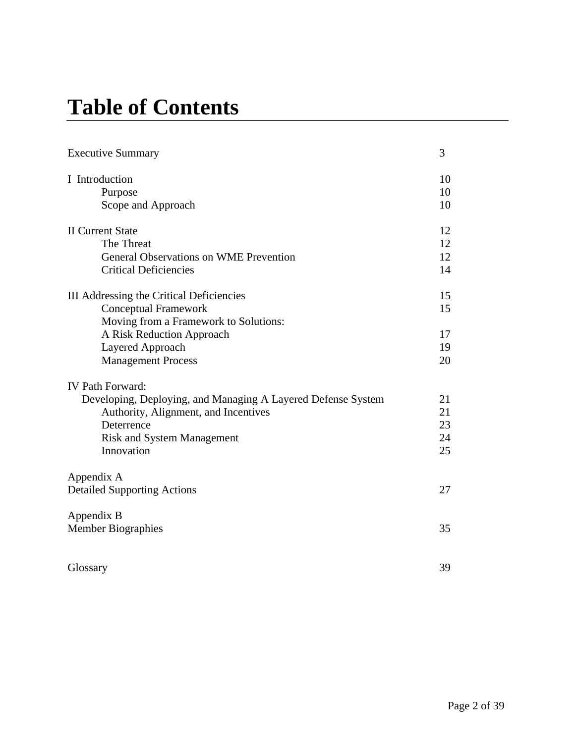# **Table of Contents**

| <b>Executive Summary</b>                                     | 3  |
|--------------------------------------------------------------|----|
| I Introduction                                               | 10 |
| Purpose                                                      | 10 |
| Scope and Approach                                           | 10 |
| <b>II Current State</b>                                      | 12 |
| The Threat                                                   | 12 |
| <b>General Observations on WME Prevention</b>                | 12 |
| <b>Critical Deficiencies</b>                                 | 14 |
| III Addressing the Critical Deficiencies                     | 15 |
| <b>Conceptual Framework</b>                                  | 15 |
| Moving from a Framework to Solutions:                        |    |
| A Risk Reduction Approach                                    | 17 |
| Layered Approach                                             | 19 |
| <b>Management Process</b>                                    | 20 |
| <b>IV Path Forward:</b>                                      |    |
| Developing, Deploying, and Managing A Layered Defense System | 21 |
| Authority, Alignment, and Incentives                         | 21 |
| Deterrence                                                   | 23 |
| <b>Risk and System Management</b>                            | 24 |
| Innovation                                                   | 25 |
| Appendix A                                                   |    |
| <b>Detailed Supporting Actions</b>                           | 27 |
| Appendix B                                                   |    |
| <b>Member Biographies</b>                                    | 35 |
|                                                              |    |
| Glossary                                                     | 39 |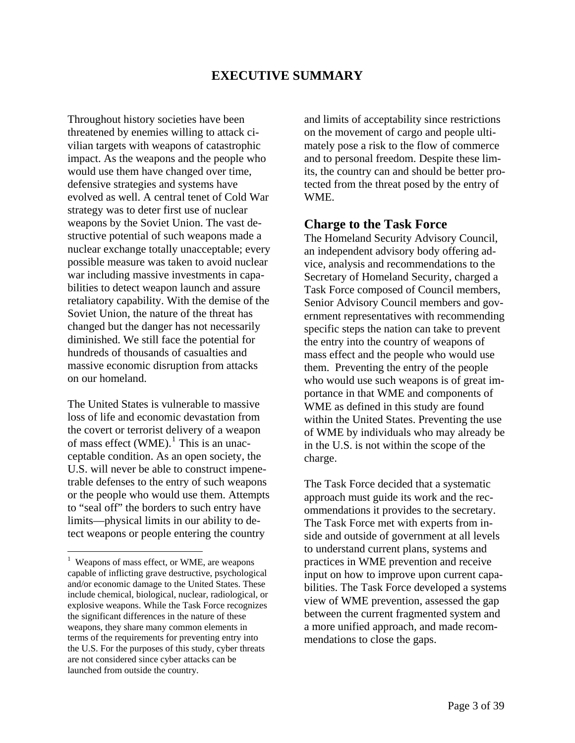# **EXECUTIVE SUMMARY**

Throughout history societies have been threatened by enemies willing to attack civilian targets with weapons of catastrophic impact. As the weapons and the people who would use them have changed over time, defensive strategies and systems have evolved as well. A central tenet of Cold War strategy was to deter first use of nuclear weapons by the Soviet Union. The vast destructive potential of such weapons made a nuclear exchange totally unacceptable; every possible measure was taken to avoid nuclear war including massive investments in capabilities to detect weapon launch and assure retaliatory capability. With the demise of the Soviet Union, the nature of the threat has changed but the danger has not necessarily diminished. We still face the potential for hundreds of thousands of casualties and massive economic disruption from attacks on our homeland.

The United States is vulnerable to massive loss of life and economic devastation from the covert or terrorist delivery of a weapon of mass effect (WME).<sup>[1](#page-2-0)</sup> This is an unacceptable condition. As an open society, the U.S. will never be able to construct impenetrable defenses to the entry of such weapons or the people who would use them. Attempts to "seal off" the borders to such entry have limits—physical limits in our ability to detect weapons or people entering the country

 $\overline{a}$ 

and limits of acceptability since restrictions on the movement of cargo and people ultimately pose a risk to the flow of commerce and to personal freedom. Despite these limits, the country can and should be better protected from the threat posed by the entry of WME.

### **Charge to the Task Force**

The Homeland Security Advisory Council, an independent advisory body offering advice, analysis and recommendations to the Secretary of Homeland Security, charged a Task Force composed of Council members, Senior Advisory Council members and government representatives with recommending specific steps the nation can take to prevent the entry into the country of weapons of mass effect and the people who would use them. Preventing the entry of the people who would use such weapons is of great importance in that WME and components of WME as defined in this study are found within the United States. Preventing the use of WME by individuals who may already be in the U.S. is not within the scope of the charge.

The Task Force decided that a systematic approach must guide its work and the recommendations it provides to the secretary. The Task Force met with experts from inside and outside of government at all levels to understand current plans, systems and practices in WME prevention and receive input on how to improve upon current capabilities. The Task Force developed a systems view of WME prevention, assessed the gap between the current fragmented system and a more unified approach, and made recommendations to close the gaps.

<span id="page-2-0"></span><sup>&</sup>lt;sup>1</sup> Weapons of mass effect, or WME, are weapons capable of inflicting grave destructive, psychological and/or economic damage to the United States. These include chemical, biological, nuclear, radiological, or explosive weapons. While the Task Force recognizes the significant differences in the nature of these weapons, they share many common elements in terms of the requirements for preventing entry into the U.S. For the purposes of this study, cyber threats are not considered since cyber attacks can be launched from outside the country.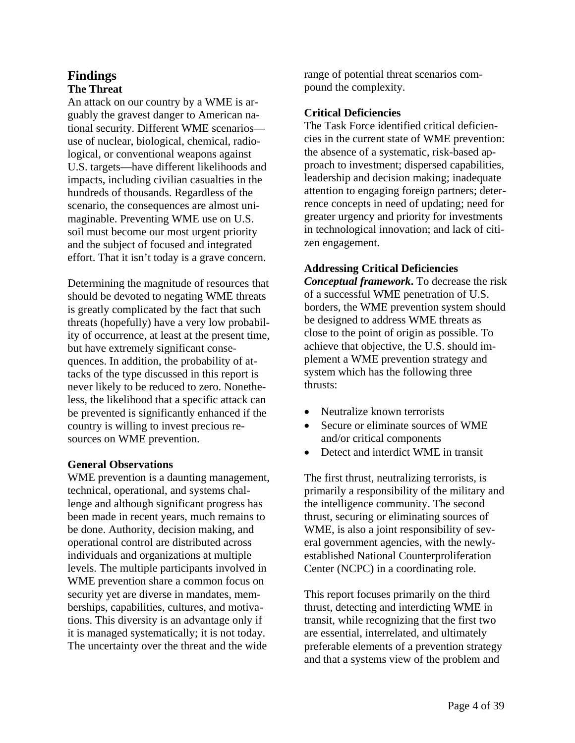### **Findings The Threat**

An attack on our country by a WME is arguably the gravest danger to American national security. Different WME scenarios use of nuclear, biological, chemical, radiological, or conventional weapons against U.S. targets—have different likelihoods and impacts, including civilian casualties in the hundreds of thousands. Regardless of the scenario, the consequences are almost unimaginable. Preventing WME use on U.S. soil must become our most urgent priority and the subject of focused and integrated effort. That it isn't today is a grave concern.

Determining the magnitude of resources that should be devoted to negating WME threats is greatly complicated by the fact that such threats (hopefully) have a very low probability of occurrence, at least at the present time, but have extremely significant consequences. In addition, the probability of attacks of the type discussed in this report is never likely to be reduced to zero. Nonetheless, the likelihood that a specific attack can be prevented is significantly enhanced if the country is willing to invest precious resources on WME prevention.

### **General Observations**

WME prevention is a daunting management, technical, operational, and systems challenge and although significant progress has been made in recent years, much remains to be done. Authority, decision making, and operational control are distributed across individuals and organizations at multiple levels. The multiple participants involved in WME prevention share a common focus on security yet are diverse in mandates, memberships, capabilities, cultures, and motivations. This diversity is an advantage only if it is managed systematically; it is not today. The uncertainty over the threat and the wide

range of potential threat scenarios compound the complexity.

### **Critical Deficiencies**

The Task Force identified critical deficiencies in the current state of WME prevention: the absence of a systematic, risk-based approach to investment; dispersed capabilities, leadership and decision making; inadequate attention to engaging foreign partners; deterrence concepts in need of updating; need for greater urgency and priority for investments in technological innovation; and lack of citizen engagement.

### **Addressing Critical Deficiencies**

*Conceptual framework***.** To decrease the risk of a successful WME penetration of U.S. borders, the WME prevention system should be designed to address WME threats as close to the point of origin as possible. To achieve that objective, the U.S. should implement a WME prevention strategy and system which has the following three thrusts:

- Neutralize known terrorists
- Secure or eliminate sources of WME and/or critical components
- Detect and interdict WME in transit

The first thrust, neutralizing terrorists, is primarily a responsibility of the military and the intelligence community. The second thrust, securing or eliminating sources of WME, is also a joint responsibility of several government agencies, with the newlyestablished National Counterproliferation Center (NCPC) in a coordinating role.

This report focuses primarily on the third thrust, detecting and interdicting WME in transit, while recognizing that the first two are essential, interrelated, and ultimately preferable elements of a prevention strategy and that a systems view of the problem and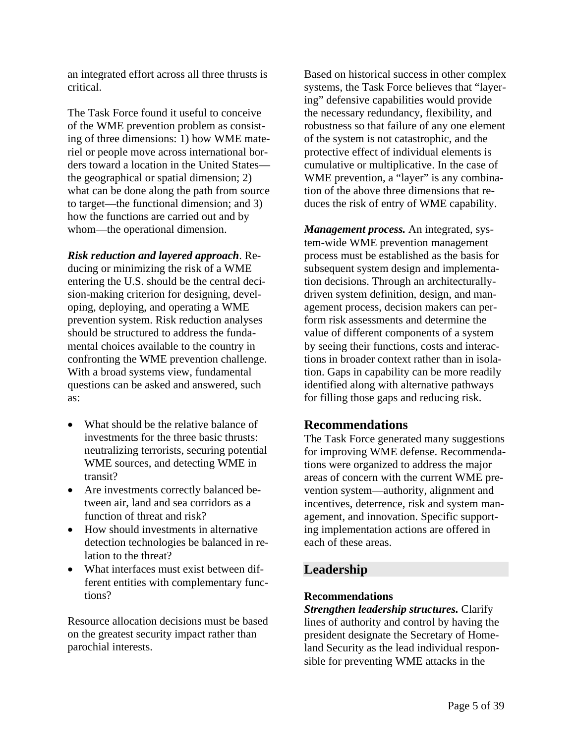an integrated effort across all three thrusts is critical.

The Task Force found it useful to conceive of the WME prevention problem as consisting of three dimensions: 1) how WME materiel or people move across international borders toward a location in the United States the geographical or spatial dimension; 2) what can be done along the path from source to target—the functional dimension; and 3) how the functions are carried out and by whom—the operational dimension.

*Risk reduction and layered approach*. Reducing or minimizing the risk of a WME entering the U.S. should be the central decision-making criterion for designing, developing, deploying, and operating a WME prevention system. Risk reduction analyses should be structured to address the fundamental choices available to the country in confronting the WME prevention challenge. With a broad systems view, fundamental questions can be asked and answered, such as:

- What should be the relative balance of investments for the three basic thrusts: neutralizing terrorists, securing potential WME sources, and detecting WME in transit?
- Are investments correctly balanced between air, land and sea corridors as a function of threat and risk?
- How should investments in alternative detection technologies be balanced in relation to the threat?
- What interfaces must exist between different entities with complementary functions?

Resource allocation decisions must be based on the greatest security impact rather than parochial interests.

Based on historical success in other complex systems, the Task Force believes that "layering" defensive capabilities would provide the necessary redundancy, flexibility, and robustness so that failure of any one element of the system is not catastrophic, and the protective effect of individual elements is cumulative or multiplicative. In the case of WME prevention, a "layer" is any combination of the above three dimensions that reduces the risk of entry of WME capability.

*Management process.* An integrated, system-wide WME prevention management process must be established as the basis for subsequent system design and implementation decisions. Through an architecturallydriven system definition, design, and management process, decision makers can perform risk assessments and determine the value of different components of a system by seeing their functions, costs and interactions in broader context rather than in isolation. Gaps in capability can be more readily identified along with alternative pathways for filling those gaps and reducing risk.

### **Recommendations**

The Task Force generated many suggestions for improving WME defense. Recommendations were organized to address the major areas of concern with the current WME prevention system—authority, alignment and incentives, deterrence, risk and system management, and innovation. Specific supporting implementation actions are offered in each of these areas.

# **Leadership**

### **Recommendations**

*Strengthen leadership structures.* Clarify lines of authority and control by having the president designate the Secretary of Homeland Security as the lead individual responsible for preventing WME attacks in the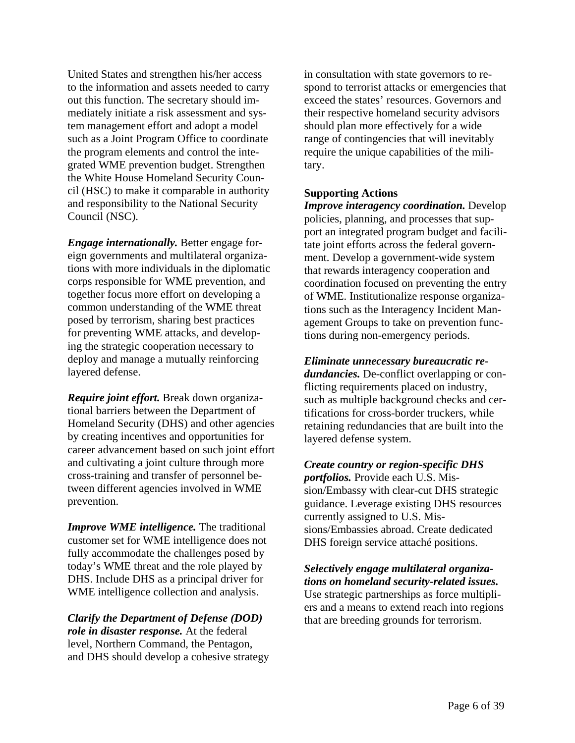United States and strengthen his/her access to the information and assets needed to carry out this function. The secretary should immediately initiate a risk assessment and system management effort and adopt a model such as a Joint Program Office to coordinate the program elements and control the integrated WME prevention budget. Strengthen the White House Homeland Security Council (HSC) to make it comparable in authority and responsibility to the National Security Council (NSC).

*Engage internationally.* Better engage foreign governments and multilateral organizations with more individuals in the diplomatic corps responsible for WME prevention, and together focus more effort on developing a common understanding of the WME threat posed by terrorism, sharing best practices for preventing WME attacks, and developing the strategic cooperation necessary to deploy and manage a mutually reinforcing layered defense.

*Require joint effort.* Break down organizational barriers between the Department of Homeland Security (DHS) and other agencies by creating incentives and opportunities for career advancement based on such joint effort and cultivating a joint culture through more cross-training and transfer of personnel between different agencies involved in WME prevention.

*Improve WME intelligence.* The traditional customer set for WME intelligence does not fully accommodate the challenges posed by today's WME threat and the role played by DHS. Include DHS as a principal driver for WME intelligence collection and analysis.

### *Clarify the Department of Defense (DOD) role in disaster response.* At the federal level, Northern Command, the Pentagon, and DHS should develop a cohesive strategy

in consultation with state governors to respond to terrorist attacks or emergencies that exceed the states' resources. Governors and their respective homeland security advisors should plan more effectively for a wide range of contingencies that will inevitably require the unique capabilities of the military.

### **Supporting Actions**

*Improve interagency coordination.* Develop policies, planning, and processes that support an integrated program budget and facilitate joint efforts across the federal government. Develop a government-wide system that rewards interagency cooperation and coordination focused on preventing the entry of WME. Institutionalize response organizations such as the Interagency Incident Management Groups to take on prevention functions during non-emergency periods.

*Eliminate unnecessary bureaucratic redundancies.* De-conflict overlapping or conflicting requirements placed on industry, such as multiple background checks and certifications for cross-border truckers, while retaining redundancies that are built into the layered defense system.

*Create country or region-specific DHS portfolios.* Provide each U.S. Mission/Embassy with clear-cut DHS strategic guidance. Leverage existing DHS resources currently assigned to U.S. Missions/Embassies abroad. Create dedicated DHS foreign service attaché positions.

*Selectively engage multilateral organizations on homeland security-related issues.*  Use strategic partnerships as force multipliers and a means to extend reach into regions that are breeding grounds for terrorism.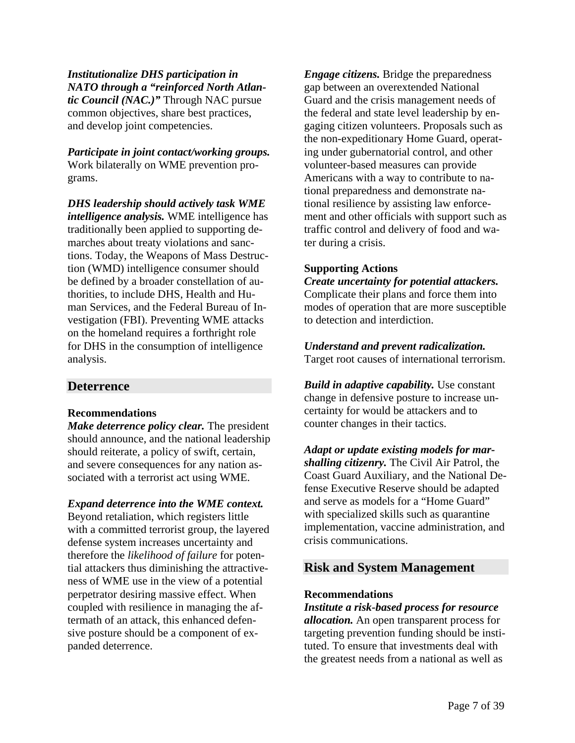*Institutionalize DHS participation in NATO through a "reinforced North Atlantic Council (NAC.)"* Through NAC pursue common objectives, share best practices, and develop joint competencies.

*Participate in joint contact/working groups.* Work bilaterally on WME prevention programs.

*DHS leadership should actively task WME intelligence analysis.* WME intelligence has traditionally been applied to supporting demarches about treaty violations and sanctions. Today, the Weapons of Mass Destruction (WMD) intelligence consumer should be defined by a broader constellation of authorities, to include DHS, Health and Human Services, and the Federal Bureau of Investigation (FBI). Preventing WME attacks on the homeland requires a forthright role for DHS in the consumption of intelligence analysis.

### **Deterrence**

### **Recommendations**

*Make deterrence policy clear.* The president should announce, and the national leadership should reiterate, a policy of swift, certain, and severe consequences for any nation associated with a terrorist act using WME.

### *Expand deterrence into the WME context.*

Beyond retaliation, which registers little with a committed terrorist group, the layered defense system increases uncertainty and therefore the *likelihood of failure* for potential attackers thus diminishing the attractiveness of WME use in the view of a potential perpetrator desiring massive effect. When coupled with resilience in managing the aftermath of an attack, this enhanced defensive posture should be a component of expanded deterrence.

*Engage citizens.* Bridge the preparedness gap between an overextended National Guard and the crisis management needs of the federal and state level leadership by engaging citizen volunteers. Proposals such as the non-expeditionary Home Guard, operating under gubernatorial control, and other volunteer-based measures can provide Americans with a way to contribute to national preparedness and demonstrate national resilience by assisting law enforcement and other officials with support such as traffic control and delivery of food and water during a crisis.

### **Supporting Actions**

*Create uncertainty for potential attackers.*  Complicate their plans and force them into modes of operation that are more susceptible to detection and interdiction.

# *Understand and prevent radicalization.*

Target root causes of international terrorism.

*Build in adaptive capability.* Use constant change in defensive posture to increase uncertainty for would be attackers and to counter changes in their tactics.

*Adapt or update existing models for marshalling citizenry.* The Civil Air Patrol, the Coast Guard Auxiliary, and the National Defense Executive Reserve should be adapted and serve as models for a "Home Guard" with specialized skills such as quarantine implementation, vaccine administration, and crisis communications.

### **Risk and System Management**

### **Recommendations**

*Institute a risk-based process for resource allocation.* An open transparent process for targeting prevention funding should be instituted. To ensure that investments deal with the greatest needs from a national as well as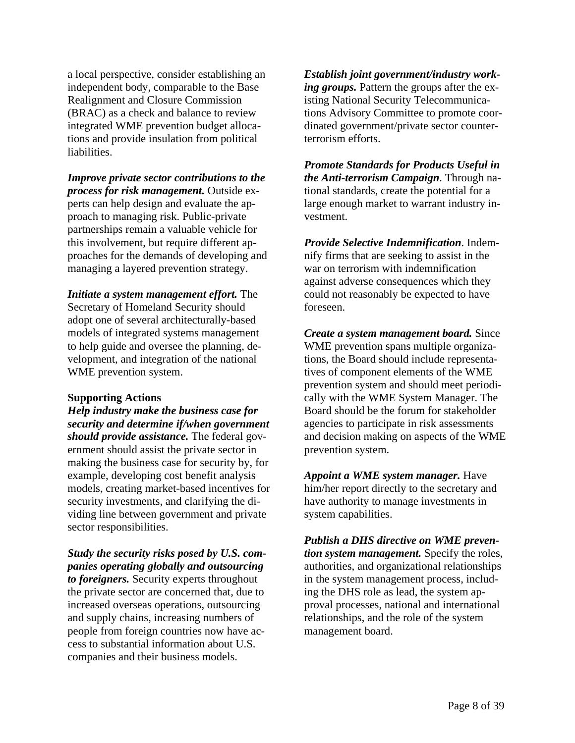a local perspective, consider establishing an independent body, comparable to the Base Realignment and Closure Commission (BRAC) as a check and balance to review integrated WME prevention budget allocations and provide insulation from political liabilities.

*Improve private sector contributions to the process for risk management.* Outside experts can help design and evaluate the approach to managing risk. Public-private partnerships remain a valuable vehicle for this involvement, but require different approaches for the demands of developing and managing a layered prevention strategy.

*Initiate a system management effort.* The Secretary of Homeland Security should adopt one of several architecturally-based models of integrated systems management to help guide and oversee the planning, development, and integration of the national WME prevention system.

#### **Supporting Actions**

*Help industry make the business case for security and determine if/when government should provide assistance.* The federal government should assist the private sector in making the business case for security by, for example, developing cost benefit analysis models, creating market-based incentives for security investments, and clarifying the dividing line between government and private sector responsibilities.

*Study the security risks posed by U.S. companies operating globally and outsourcing to foreigners.* Security experts throughout the private sector are concerned that, due to increased overseas operations, outsourcing and supply chains, increasing numbers of people from foreign countries now have access to substantial information about U.S. companies and their business models.

*Establish joint government/industry working groups.* Pattern the groups after the existing National Security Telecommunications Advisory Committee to promote coordinated government/private sector counterterrorism efforts.

*Promote Standards for Products Useful in the Anti-terrorism Campaign*. Through national standards, create the potential for a large enough market to warrant industry investment.

*Provide Selective Indemnification*. Indemnify firms that are seeking to assist in the war on terrorism with indemnification against adverse consequences which they could not reasonably be expected to have foreseen.

*Create a system management board.* Since WME prevention spans multiple organizations, the Board should include representatives of component elements of the WME prevention system and should meet periodically with the WME System Manager. The Board should be the forum for stakeholder agencies to participate in risk assessments and decision making on aspects of the WME prevention system.

*Appoint a WME system manager.* Have him/her report directly to the secretary and have authority to manage investments in system capabilities.

*Publish a DHS directive on WME prevention system management.* Specify the roles, authorities, and organizational relationships in the system management process, including the DHS role as lead, the system approval processes, national and international relationships, and the role of the system management board.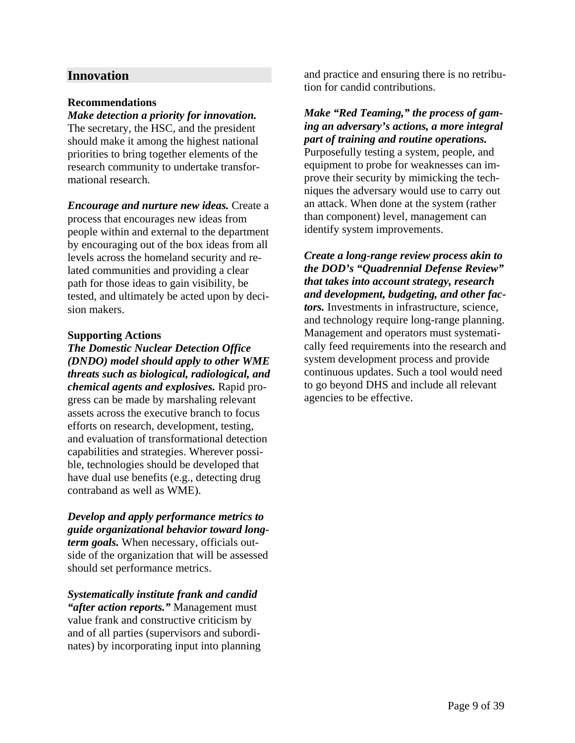### **Innovation**

### **Recommendations**

### *Make detection a priority for innovation.*

The secretary, the HSC, and the president should make it among the highest national priorities to bring together elements of the research community to undertake transformational research.

*Encourage and nurture new ideas.* Create a process that encourages new ideas from people within and external to the department by encouraging out of the box ideas from all levels across the homeland security and related communities and providing a clear path for those ideas to gain visibility, be tested, and ultimately be acted upon by decision makers.

### **Supporting Actions**

*The Domestic Nuclear Detection Office (DNDO) model should apply to other WME threats such as biological, radiological, and chemical agents and explosives.* Rapid progress can be made by marshaling relevant assets across the executive branch to focus efforts on research, development, testing, and evaluation of transformational detection capabilities and strategies. Wherever possible, technologies should be developed that have dual use benefits (e.g., detecting drug contraband as well as WME).

### *Develop and apply performance metrics to guide organizational behavior toward longterm goals.* When necessary, officials outside of the organization that will be assessed

should set performance metrics.

### *Systematically institute frank and candid "after action reports."* Management must value frank and constructive criticism by and of all parties (supervisors and subordinates) by incorporating input into planning

and practice and ensuring there is no retribution for candid contributions.

*Make "Red Teaming," the process of gaming an adversary's actions, a more integral part of training and routine operations.* Purposefully testing a system, people, and equipment to probe for weaknesses can improve their security by mimicking the techniques the adversary would use to carry out an attack. When done at the system (rather than component) level, management can identify system improvements.

*Create a long-range review process akin to the DOD's "Quadrennial Defense Review" that takes into account strategy, research and development, budgeting, and other factors.* Investments in infrastructure, science, and technology require long-range planning. Management and operators must systematically feed requirements into the research and system development process and provide continuous updates. Such a tool would need to go beyond DHS and include all relevant agencies to be effective.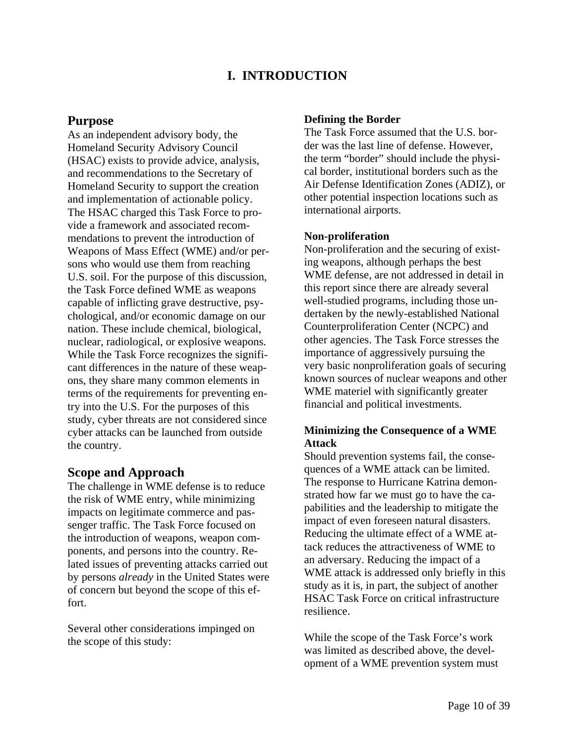# **I. INTRODUCTION**

### **Purpose**

As an independent advisory body, the Homeland Security Advisory Council (HSAC) exists to provide advice, analysis, and recommendations to the Secretary of Homeland Security to support the creation and implementation of actionable policy. The HSAC charged this Task Force to provide a framework and associated recommendations to prevent the introduction of Weapons of Mass Effect (WME) and/or persons who would use them from reaching U.S. soil. For the purpose of this discussion, the Task Force defined WME as weapons capable of inflicting grave destructive, psychological, and/or economic damage on our nation. These include chemical, biological, nuclear, radiological, or explosive weapons. While the Task Force recognizes the significant differences in the nature of these weapons, they share many common elements in terms of the requirements for preventing entry into the U.S. For the purposes of this study, cyber threats are not considered since cyber attacks can be launched from outside the country.

### **Scope and Approach**

The challenge in WME defense is to reduce the risk of WME entry, while minimizing impacts on legitimate commerce and passenger traffic. The Task Force focused on the introduction of weapons, weapon components, and persons into the country. Related issues of preventing attacks carried out by persons *already* in the United States were of concern but beyond the scope of this effort.

Several other considerations impinged on the scope of this study:

### **Defining the Border**

The Task Force assumed that the U.S. border was the last line of defense. However, the term "border" should include the physical border, institutional borders such as the Air Defense Identification Zones (ADIZ), or other potential inspection locations such as international airports.

### **Non-proliferation**

Non-proliferation and the securing of existing weapons, although perhaps the best WME defense, are not addressed in detail in this report since there are already several well-studied programs, including those undertaken by the newly-established National Counterproliferation Center (NCPC) and other agencies. The Task Force stresses the importance of aggressively pursuing the very basic nonproliferation goals of securing known sources of nuclear weapons and other WME materiel with significantly greater financial and political investments.

### **Minimizing the Consequence of a WME Attack**

Should prevention systems fail, the consequences of a WME attack can be limited. The response to Hurricane Katrina demonstrated how far we must go to have the capabilities and the leadership to mitigate the impact of even foreseen natural disasters. Reducing the ultimate effect of a WME attack reduces the attractiveness of WME to an adversary. Reducing the impact of a WME attack is addressed only briefly in this study as it is, in part, the subject of another HSAC Task Force on critical infrastructure resilience.

While the scope of the Task Force's work was limited as described above, the development of a WME prevention system must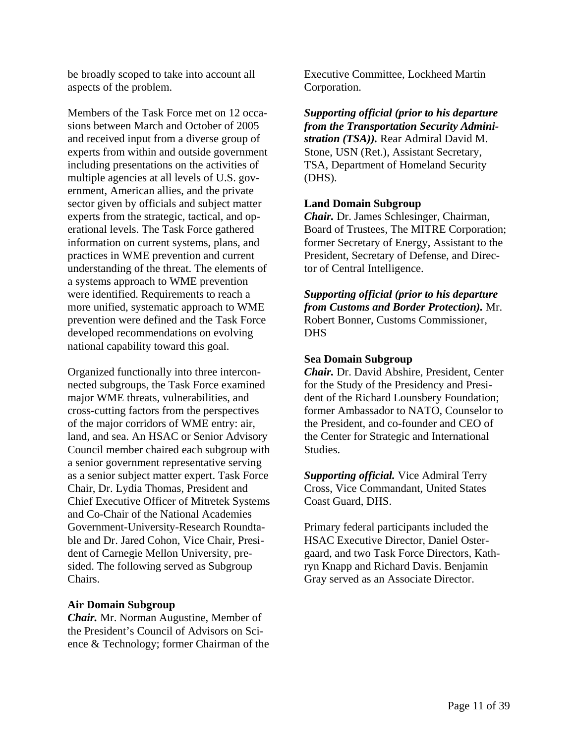be broadly scoped to take into account all aspects of the problem.

Members of the Task Force met on 12 occasions between March and October of 2005 and received input from a diverse group of experts from within and outside government including presentations on the activities of multiple agencies at all levels of U.S. government, American allies, and the private sector given by officials and subject matter experts from the strategic, tactical, and operational levels. The Task Force gathered information on current systems, plans, and practices in WME prevention and current understanding of the threat. The elements of a systems approach to WME prevention were identified. Requirements to reach a more unified, systematic approach to WME prevention were defined and the Task Force developed recommendations on evolving national capability toward this goal.

Organized functionally into three interconnected subgroups, the Task Force examined major WME threats, vulnerabilities, and cross-cutting factors from the perspectives of the major corridors of WME entry: air, land, and sea. An HSAC or Senior Advisory Council member chaired each subgroup with a senior government representative serving as a senior subject matter expert. Task Force Chair, Dr. Lydia Thomas, President and Chief Executive Officer of Mitretek Systems and Co-Chair of the National Academies Government-University-Research Roundtable and Dr. Jared Cohon, Vice Chair, President of Carnegie Mellon University, presided. The following served as Subgroup Chairs.

### **Air Domain Subgroup**

*Chair.* Mr. Norman Augustine, Member of the President's Council of Advisors on Science & Technology; former Chairman of the Executive Committee, Lockheed Martin Corporation.

*Supporting official (prior to his departure from the Transportation Security Administration (TSA)).* Rear Admiral David M. Stone, USN (Ret.), Assistant Secretary, TSA, Department of Homeland Security (DHS).

### **Land Domain Subgroup**

*Chair.* Dr. James Schlesinger, Chairman, Board of Trustees, The MITRE Corporation; former Secretary of Energy, Assistant to the President, Secretary of Defense, and Director of Central Intelligence.

*Supporting official (prior to his departure from Customs and Border Protection).* Mr. Robert Bonner, Customs Commissioner, DHS

### **Sea Domain Subgroup**

*Chair.* Dr. David Abshire, President, Center for the Study of the Presidency and President of the Richard Lounsbery Foundation; former Ambassador to NATO, Counselor to the President, and co-founder and CEO of the Center for Strategic and International Studies.

*Supporting official.* Vice Admiral Terry Cross, Vice Commandant, United States Coast Guard, DHS.

Primary federal participants included the HSAC Executive Director, Daniel Ostergaard, and two Task Force Directors, Kathryn Knapp and Richard Davis. Benjamin Gray served as an Associate Director.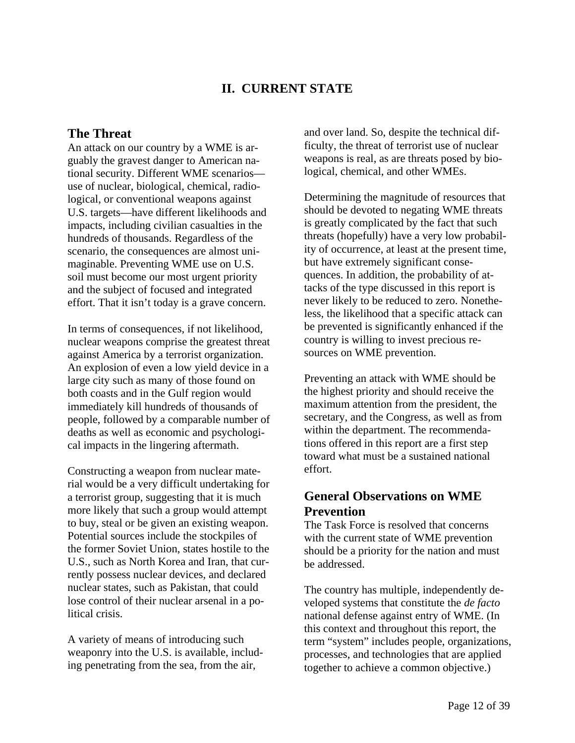# **II. CURRENT STATE**

## **The Threat**

An attack on our country by a WME is arguably the gravest danger to American national security. Different WME scenarios use of nuclear, biological, chemical, radiological, or conventional weapons against U.S. targets—have different likelihoods and impacts, including civilian casualties in the hundreds of thousands. Regardless of the scenario, the consequences are almost unimaginable. Preventing WME use on U.S. soil must become our most urgent priority and the subject of focused and integrated effort. That it isn't today is a grave concern.

In terms of consequences, if not likelihood, nuclear weapons comprise the greatest threat against America by a terrorist organization. An explosion of even a low yield device in a large city such as many of those found on both coasts and in the Gulf region would immediately kill hundreds of thousands of people, followed by a comparable number of deaths as well as economic and psychological impacts in the lingering aftermath.

Constructing a weapon from nuclear material would be a very difficult undertaking for a terrorist group, suggesting that it is much more likely that such a group would attempt to buy, steal or be given an existing weapon. Potential sources include the stockpiles of the former Soviet Union, states hostile to the U.S., such as North Korea and Iran, that currently possess nuclear devices, and declared nuclear states, such as Pakistan, that could lose control of their nuclear arsenal in a political crisis.

A variety of means of introducing such weaponry into the U.S. is available, including penetrating from the sea, from the air,

and over land. So, despite the technical difficulty, the threat of terrorist use of nuclear weapons is real, as are threats posed by biological, chemical, and other WMEs.

Determining the magnitude of resources that should be devoted to negating WME threats is greatly complicated by the fact that such threats (hopefully) have a very low probability of occurrence, at least at the present time, but have extremely significant consequences. In addition, the probability of attacks of the type discussed in this report is never likely to be reduced to zero. Nonetheless, the likelihood that a specific attack can be prevented is significantly enhanced if the country is willing to invest precious resources on WME prevention.

Preventing an attack with WME should be the highest priority and should receive the maximum attention from the president, the secretary, and the Congress, as well as from within the department. The recommendations offered in this report are a first step toward what must be a sustained national effort.

# **General Observations on WME Prevention**

The Task Force is resolved that concerns with the current state of WME prevention should be a priority for the nation and must be addressed.

The country has multiple, independently developed systems that constitute the *de facto* national defense against entry of WME. (In this context and throughout this report, the term "system" includes people, organizations, processes, and technologies that are applied together to achieve a common objective.)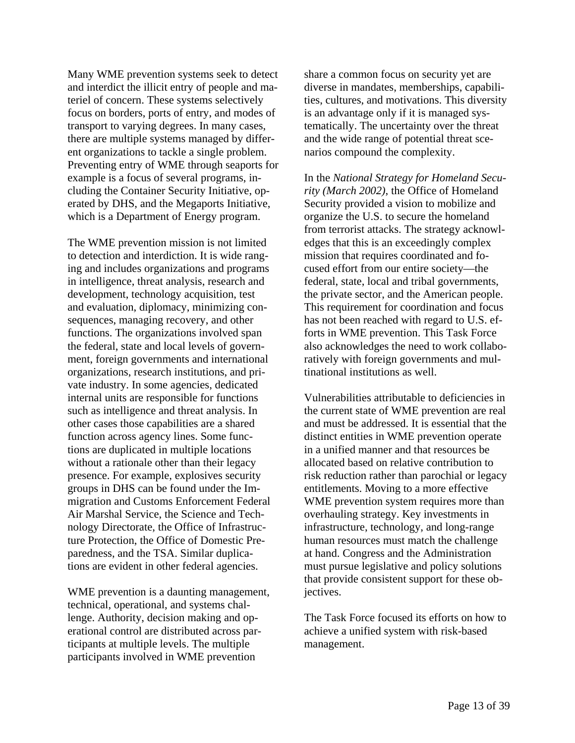Many WME prevention systems seek to detect and interdict the illicit entry of people and materiel of concern. These systems selectively focus on borders, ports of entry, and modes of transport to varying degrees. In many cases, there are multiple systems managed by different organizations to tackle a single problem. Preventing entry of WME through seaports for example is a focus of several programs, including the Container Security Initiative, operated by DHS, and the Megaports Initiative, which is a Department of Energy program.

The WME prevention mission is not limited to detection and interdiction. It is wide ranging and includes organizations and programs in intelligence, threat analysis, research and development, technology acquisition, test and evaluation, diplomacy, minimizing consequences, managing recovery, and other functions. The organizations involved span the federal, state and local levels of government, foreign governments and international organizations, research institutions, and private industry. In some agencies, dedicated internal units are responsible for functions such as intelligence and threat analysis. In other cases those capabilities are a shared function across agency lines. Some functions are duplicated in multiple locations without a rationale other than their legacy presence. For example, explosives security groups in DHS can be found under the Immigration and Customs Enforcement Federal Air Marshal Service, the Science and Technology Directorate, the Office of Infrastructure Protection, the Office of Domestic Preparedness, and the TSA. Similar duplications are evident in other federal agencies.

WME prevention is a daunting management, technical, operational, and systems challenge. Authority, decision making and operational control are distributed across participants at multiple levels. The multiple participants involved in WME prevention

share a common focus on security yet are diverse in mandates, memberships, capabilities, cultures, and motivations. This diversity is an advantage only if it is managed systematically. The uncertainty over the threat and the wide range of potential threat scenarios compound the complexity.

In the *National Strategy for Homeland Security (March 2002)*, the Office of Homeland Security provided a vision to mobilize and organize the U.S. to secure the homeland from terrorist attacks. The strategy acknowledges that this is an exceedingly complex mission that requires coordinated and focused effort from our entire society—the federal, state, local and tribal governments, the private sector, and the American people. This requirement for coordination and focus has not been reached with regard to U.S. efforts in WME prevention. This Task Force also acknowledges the need to work collaboratively with foreign governments and multinational institutions as well.

Vulnerabilities attributable to deficiencies in the current state of WME prevention are real and must be addressed. It is essential that the distinct entities in WME prevention operate in a unified manner and that resources be allocated based on relative contribution to risk reduction rather than parochial or legacy entitlements. Moving to a more effective WME prevention system requires more than overhauling strategy. Key investments in infrastructure, technology, and long-range human resources must match the challenge at hand. Congress and the Administration must pursue legislative and policy solutions that provide consistent support for these objectives.

The Task Force focused its efforts on how to achieve a unified system with risk-based management.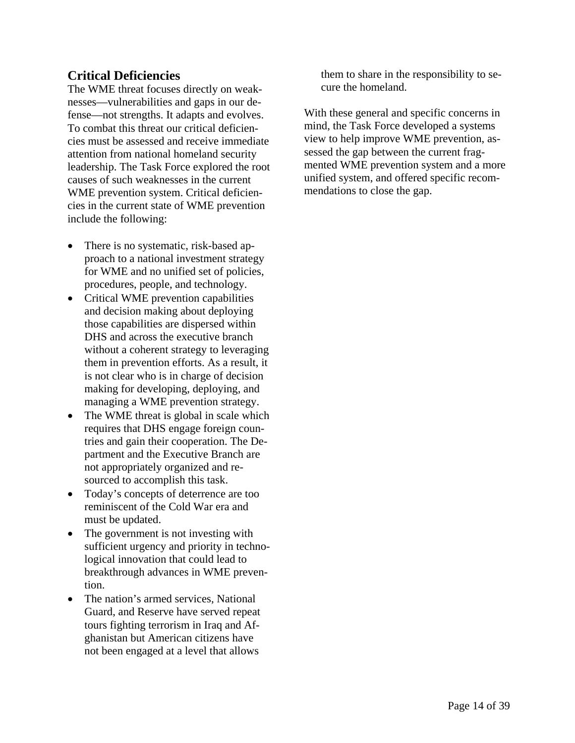# **Critical Deficiencies**

The WME threat focuses directly on weaknesses—vulnerabilities and gaps in our defense—not strengths. It adapts and evolves. To combat this threat our critical deficiencies must be assessed and receive immediate attention from national homeland security leadership. The Task Force explored the root causes of such weaknesses in the current WME prevention system. Critical deficiencies in the current state of WME prevention include the following:

- There is no systematic, risk-based approach to a national investment strategy for WME and no unified set of policies, procedures, people, and technology.
- Critical WME prevention capabilities and decision making about deploying those capabilities are dispersed within DHS and across the executive branch without a coherent strategy to leveraging them in prevention efforts. As a result, it is not clear who is in charge of decision making for developing, deploying, and managing a WME prevention strategy.
- The WME threat is global in scale which requires that DHS engage foreign countries and gain their cooperation. The Department and the Executive Branch are not appropriately organized and resourced to accomplish this task.
- Today's concepts of deterrence are too reminiscent of the Cold War era and must be updated.
- The government is not investing with sufficient urgency and priority in technological innovation that could lead to breakthrough advances in WME prevention.
- The nation's armed services, National Guard, and Reserve have served repeat tours fighting terrorism in Iraq and Afghanistan but American citizens have not been engaged at a level that allows

them to share in the responsibility to secure the homeland.

With these general and specific concerns in mind, the Task Force developed a systems view to help improve WME prevention, assessed the gap between the current fragmented WME prevention system and a more unified system, and offered specific recommendations to close the gap.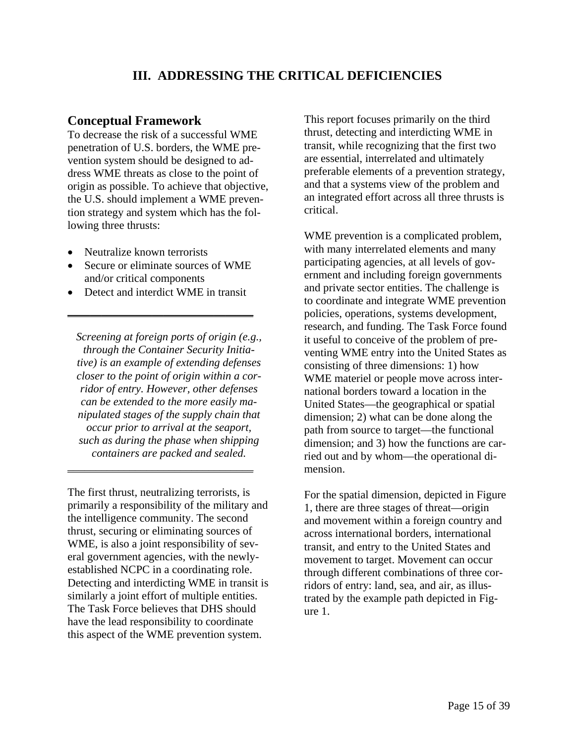# **III. ADDRESSING THE CRITICAL DEFICIENCIES**

### **Conceptual Framework**

To decrease the risk of a successful WME penetration of U.S. borders, the WME prevention system should be designed to address WME threats as close to the point of origin as possible. To achieve that objective, the U.S. should implement a WME prevention strategy and system which has the following three thrusts:

- Neutralize known terrorists
- Secure or eliminate sources of WME and/or critical components
- Detect and interdict WME in transit

\_\_\_\_\_\_\_\_\_\_\_\_\_\_\_\_\_\_\_\_\_\_\_\_\_\_\_\_\_\_\_\_\_

*Screening at foreign ports of origin (e.g., through the Container Security Initiative) is an example of extending defenses closer to the point of origin within a corridor of entry. However, other defenses can be extended to the more easily manipulated stages of the supply chain that occur prior to arrival at the seaport, such as during the phase when shipping containers are packed and sealed.* 

\_\_\_\_\_\_\_\_\_\_\_\_\_\_\_\_\_\_\_\_\_\_\_\_\_\_\_\_\_\_\_\_\_

The first thrust, neutralizing terrorists, is primarily a responsibility of the military and the intelligence community. The second thrust, securing or eliminating sources of WME, is also a joint responsibility of several government agencies, with the newlyestablished NCPC in a coordinating role. Detecting and interdicting WME in transit is similarly a joint effort of multiple entities. The Task Force believes that DHS should have the lead responsibility to coordinate this aspect of the WME prevention system.

This report focuses primarily on the third thrust, detecting and interdicting WME in transit, while recognizing that the first two are essential, interrelated and ultimately preferable elements of a prevention strategy, and that a systems view of the problem and an integrated effort across all three thrusts is critical.

WME prevention is a complicated problem, with many interrelated elements and many participating agencies, at all levels of government and including foreign governments and private sector entities. The challenge is to coordinate and integrate WME prevention policies, operations, systems development, research, and funding. The Task Force found it useful to conceive of the problem of preventing WME entry into the United States as consisting of three dimensions: 1) how WME materiel or people move across international borders toward a location in the United States—the geographical or spatial dimension; 2) what can be done along the path from source to target—the functional dimension; and 3) how the functions are carried out and by whom—the operational dimension.

For the spatial dimension, depicted in Figure 1, there are three stages of threat—origin and movement within a foreign country and across international borders, international transit, and entry to the United States and movement to target. Movement can occur through different combinations of three corridors of entry: land, sea, and air, as illustrated by the example path depicted in Figure 1.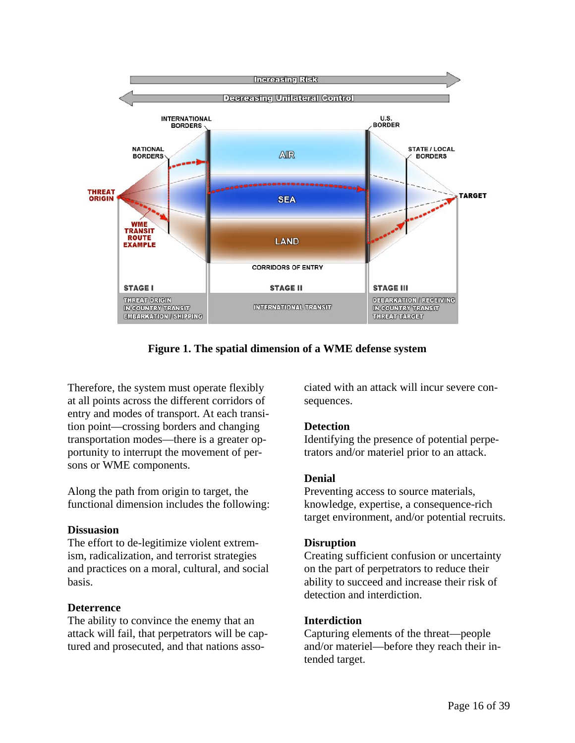

**Figure 1. The spatial dimension of a WME defense system** 

Therefore, the system must operate flexibly at all points across the different corridors of entry and modes of transport. At each transition point—crossing borders and changing transportation modes—there is a greater opportunity to interrupt the movement of persons or WME components.

Along the path from origin to target, the functional dimension includes the following:

### **Dissuasion**

The effort to de-legitimize violent extremism, radicalization, and terrorist strategies and practices on a moral, cultural, and social basis.

### **Deterrence**

The ability to convince the enemy that an attack will fail, that perpetrators will be captured and prosecuted, and that nations associated with an attack will incur severe consequences.

### **Detection**

Identifying the presence of potential perpetrators and/or materiel prior to an attack.

### **Denial**

Preventing access to source materials, knowledge, expertise, a consequence-rich target environment, and/or potential recruits.

### **Disruption**

Creating sufficient confusion or uncertainty on the part of perpetrators to reduce their ability to succeed and increase their risk of detection and interdiction.

### **Interdiction**

Capturing elements of the threat—people and/or materiel—before they reach their intended target.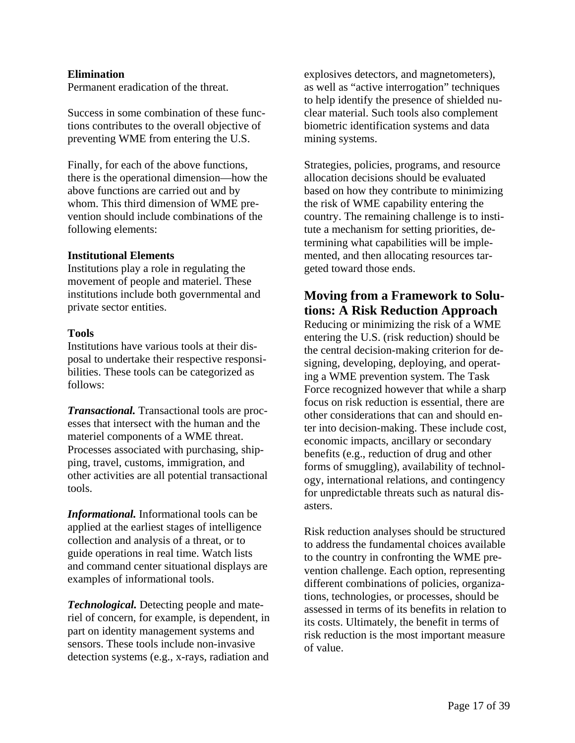### **Elimination**

Permanent eradication of the threat.

Success in some combination of these functions contributes to the overall objective of preventing WME from entering the U.S.

Finally, for each of the above functions, there is the operational dimension—how the above functions are carried out and by whom. This third dimension of WME prevention should include combinations of the following elements:

### **Institutional Elements**

Institutions play a role in regulating the movement of people and materiel. These institutions include both governmental and private sector entities.

#### **Tools**

Institutions have various tools at their disposal to undertake their respective responsibilities. These tools can be categorized as follows:

*Transactional.* Transactional tools are processes that intersect with the human and the materiel components of a WME threat. Processes associated with purchasing, shipping, travel, customs, immigration, and other activities are all potential transactional tools.

*Informational.* Informational tools can be applied at the earliest stages of intelligence collection and analysis of a threat, or to guide operations in real time. Watch lists and command center situational displays are examples of informational tools.

*Technological.* Detecting people and materiel of concern, for example, is dependent, in part on identity management systems and sensors. These tools include non-invasive detection systems (e.g., x-rays, radiation and

explosives detectors, and magnetometers), as well as "active interrogation" techniques to help identify the presence of shielded nuclear material. Such tools also complement biometric identification systems and data mining systems.

Strategies, policies, programs, and resource allocation decisions should be evaluated based on how they contribute to minimizing the risk of WME capability entering the country. The remaining challenge is to institute a mechanism for setting priorities, determining what capabilities will be implemented, and then allocating resources targeted toward those ends.

# **Moving from a Framework to Solutions: A Risk Reduction Approach**

Reducing or minimizing the risk of a WME entering the U.S. (risk reduction) should be the central decision-making criterion for designing, developing, deploying, and operating a WME prevention system. The Task Force recognized however that while a sharp focus on risk reduction is essential, there are other considerations that can and should enter into decision-making. These include cost, economic impacts, ancillary or secondary benefits (e.g., reduction of drug and other forms of smuggling), availability of technology, international relations, and contingency for unpredictable threats such as natural disasters.

Risk reduction analyses should be structured to address the fundamental choices available to the country in confronting the WME prevention challenge. Each option, representing different combinations of policies, organizations, technologies, or processes, should be assessed in terms of its benefits in relation to its costs. Ultimately, the benefit in terms of risk reduction is the most important measure of value.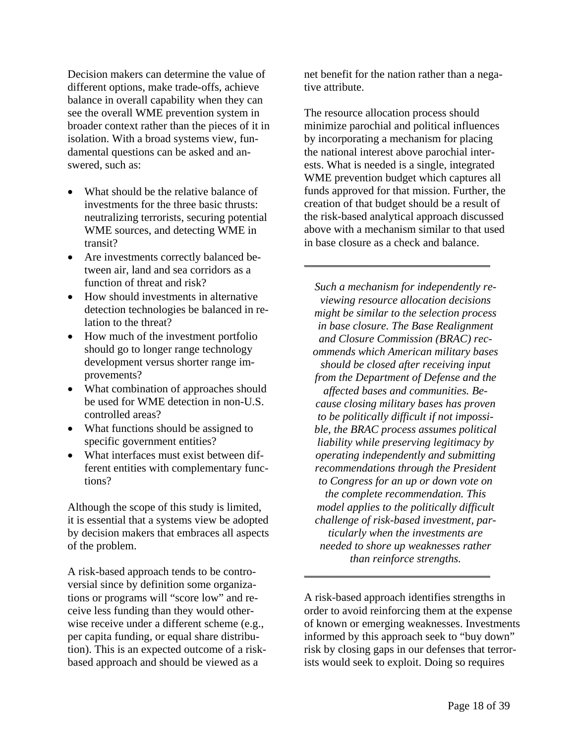Decision makers can determine the value of different options, make trade-offs, achieve balance in overall capability when they can see the overall WME prevention system in broader context rather than the pieces of it in isolation. With a broad systems view, fundamental questions can be asked and answered, such as:

- What should be the relative balance of investments for the three basic thrusts: neutralizing terrorists, securing potential WME sources, and detecting WME in transit?
- Are investments correctly balanced between air, land and sea corridors as a function of threat and risk?
- How should investments in alternative detection technologies be balanced in relation to the threat?
- How much of the investment portfolio should go to longer range technology development versus shorter range improvements?
- What combination of approaches should be used for WME detection in non-U.S. controlled areas?
- What functions should be assigned to specific government entities?
- What interfaces must exist between different entities with complementary functions?

Although the scope of this study is limited, it is essential that a systems view be adopted by decision makers that embraces all aspects of the problem.

A risk-based approach tends to be controversial since by definition some organizations or programs will "score low" and receive less funding than they would otherwise receive under a different scheme (e.g., per capita funding, or equal share distribution). This is an expected outcome of a riskbased approach and should be viewed as a

net benefit for the nation rather than a negative attribute.

The resource allocation process should minimize parochial and political influences by incorporating a mechanism for placing the national interest above parochial interests. What is needed is a single, integrated WME prevention budget which captures all funds approved for that mission. Further, the creation of that budget should be a result of the risk-based analytical approach discussed above with a mechanism similar to that used in base closure as a check and balance.

 $\overline{\phantom{a}}$  , and the set of the set of the set of the set of the set of the set of the set of the set of the set of the set of the set of the set of the set of the set of the set of the set of the set of the set of the s

*Such a mechanism for independently reviewing resource allocation decisions might be similar to the selection process in base closure. The Base Realignment and Closure Commission (BRAC) recommends which American military bases should be closed after receiving input from the Department of Defense and the affected bases and communities. Because closing military bases has proven to be politically difficult if not impossible, the BRAC process assumes political liability while preserving legitimacy by operating independently and submitting recommendations through the President to Congress for an up or down vote on the complete recommendation. This model applies to the politically difficult challenge of risk-based investment, particularly when the investments are needed to shore up weaknesses rather than reinforce strengths.* 

A risk-based approach identifies strengths in order to avoid reinforcing them at the expense of known or emerging weaknesses. Investments informed by this approach seek to "buy down" risk by closing gaps in our defenses that terrorists would seek to exploit. Doing so requires

\_\_\_\_\_\_\_\_\_\_\_\_\_\_\_\_\_\_\_\_\_\_\_\_\_\_\_\_\_\_\_\_\_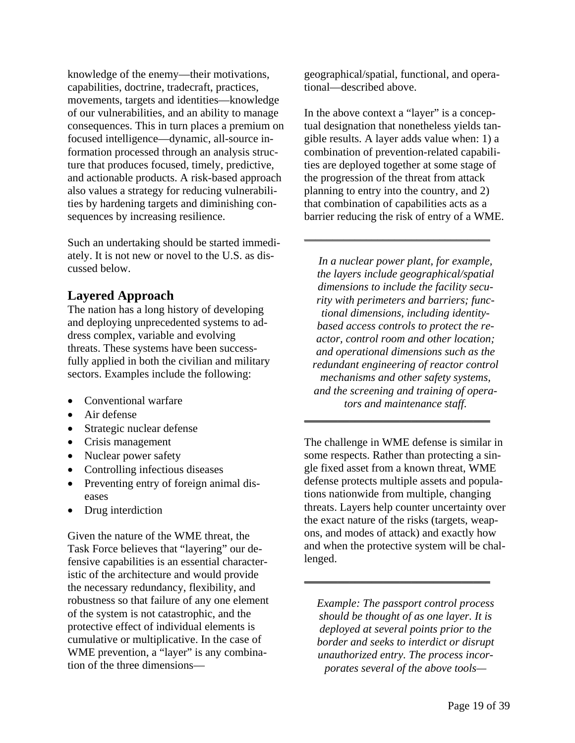knowledge of the enemy—their motivations, capabilities, doctrine, tradecraft, practices, movements, targets and identities—knowledge of our vulnerabilities, and an ability to manage consequences. This in turn places a premium on focused intelligence—dynamic, all-source information processed through an analysis structure that produces focused, timely, predictive, and actionable products. A risk-based approach also values a strategy for reducing vulnerabilities by hardening targets and diminishing consequences by increasing resilience.

Such an undertaking should be started immediately. It is not new or novel to the U.S. as discussed below.

# **Layered Approach**

The nation has a long history of developing and deploying unprecedented systems to address complex, variable and evolving threats. These systems have been successfully applied in both the civilian and military sectors. Examples include the following:

- Conventional warfare
- Air defense
- Strategic nuclear defense
- Crisis management
- Nuclear power safety
- Controlling infectious diseases
- Preventing entry of foreign animal diseases
- Drug interdiction

Given the nature of the WME threat, the Task Force believes that "layering" our defensive capabilities is an essential characteristic of the architecture and would provide the necessary redundancy, flexibility, and robustness so that failure of any one element of the system is not catastrophic, and the protective effect of individual elements is cumulative or multiplicative. In the case of WME prevention, a "layer" is any combination of the three dimensionsgeographical/spatial, functional, and operational—described above.

In the above context a "layer" is a conceptual designation that nonetheless yields tangible results. A layer adds value when: 1) a combination of prevention-related capabilities are deployed together at some stage of the progression of the threat from attack planning to entry into the country, and 2) that combination of capabilities acts as a barrier reducing the risk of entry of a WME.

\_\_\_\_\_\_\_\_\_\_\_\_\_\_\_\_\_\_\_\_\_\_\_\_\_\_\_\_\_\_\_\_\_

*In a nuclear power plant, for example, the layers include geographical/spatial dimensions to include the facility security with perimeters and barriers; functional dimensions, including identitybased access controls to protect the reactor, control room and other location; and operational dimensions such as the redundant engineering of reactor control mechanisms and other safety systems, and the screening and training of operators and maintenance staff.* 

The challenge in WME defense is similar in some respects. Rather than protecting a single fixed asset from a known threat, WME defense protects multiple assets and populations nationwide from multiple, changing threats. Layers help counter uncertainty over the exact nature of the risks (targets, weapons, and modes of attack) and exactly how and when the protective system will be challenged.

\_\_\_\_\_\_\_\_\_\_\_\_\_\_\_\_\_\_\_\_\_\_\_\_\_\_\_\_\_\_\_\_\_

*Example: The passport control process should be thought of as one layer. It is deployed at several points prior to the border and seeks to interdict or disrupt unauthorized entry. The process incorporates several of the above tools—*

\_\_\_\_\_\_\_\_\_\_\_\_\_\_\_\_\_\_\_\_\_\_\_\_\_\_\_\_\_\_\_\_\_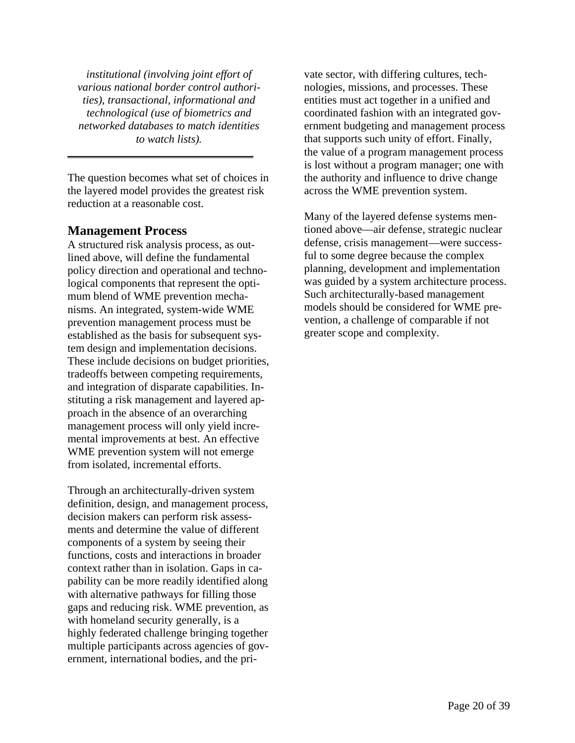*institutional (involving joint effort of various national border control authorities), transactional, informational and technological (use of biometrics and networked databases to match identities to watch lists).* 

The question becomes what set of choices in the layered model provides the greatest risk reduction at a reasonable cost.

\_\_\_\_\_\_\_\_\_\_\_\_\_\_\_\_\_\_\_\_\_\_\_\_\_\_\_\_\_\_\_\_\_

### **Management Process**

A structured risk analysis process, as outlined above, will define the fundamental policy direction and operational and technological components that represent the optimum blend of WME prevention mechanisms. An integrated, system-wide WME prevention management process must be established as the basis for subsequent system design and implementation decisions. These include decisions on budget priorities, tradeoffs between competing requirements, and integration of disparate capabilities. Instituting a risk management and layered approach in the absence of an overarching management process will only yield incremental improvements at best. An effective WME prevention system will not emerge from isolated, incremental efforts.

Through an architecturally-driven system definition, design, and management process, decision makers can perform risk assessments and determine the value of different components of a system by seeing their functions, costs and interactions in broader context rather than in isolation. Gaps in capability can be more readily identified along with alternative pathways for filling those gaps and reducing risk. WME prevention, as with homeland security generally, is a highly federated challenge bringing together multiple participants across agencies of government, international bodies, and the private sector, with differing cultures, technologies, missions, and processes. These entities must act together in a unified and coordinated fashion with an integrated government budgeting and management process that supports such unity of effort. Finally, the value of a program management process is lost without a program manager; one with the authority and influence to drive change across the WME prevention system.

Many of the layered defense systems mentioned above—air defense, strategic nuclear defense, crisis management—were successful to some degree because the complex planning, development and implementation was guided by a system architecture process. Such architecturally-based management models should be considered for WME prevention, a challenge of comparable if not greater scope and complexity.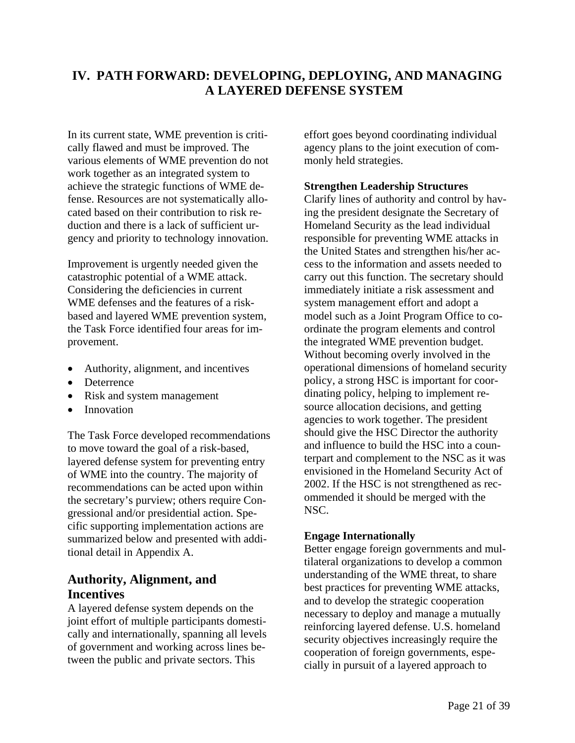# **IV. PATH FORWARD: DEVELOPING, DEPLOYING, AND MANAGING A LAYERED DEFENSE SYSTEM**

In its current state, WME prevention is critically flawed and must be improved. The various elements of WME prevention do not work together as an integrated system to achieve the strategic functions of WME defense. Resources are not systematically allocated based on their contribution to risk reduction and there is a lack of sufficient urgency and priority to technology innovation.

Improvement is urgently needed given the catastrophic potential of a WME attack. Considering the deficiencies in current WME defenses and the features of a riskbased and layered WME prevention system, the Task Force identified four areas for improvement.

- Authority, alignment, and incentives
- Deterrence
- Risk and system management
- Innovation

The Task Force developed recommendations to move toward the goal of a risk-based, layered defense system for preventing entry of WME into the country. The majority of recommendations can be acted upon within the secretary's purview; others require Congressional and/or presidential action. Specific supporting implementation actions are summarized below and presented with additional detail in Appendix A.

# **Authority, Alignment, and Incentives**

A layered defense system depends on the joint effort of multiple participants domestically and internationally, spanning all levels of government and working across lines between the public and private sectors. This

effort goes beyond coordinating individual agency plans to the joint execution of commonly held strategies.

### **Strengthen Leadership Structures**

Clarify lines of authority and control by having the president designate the Secretary of Homeland Security as the lead individual responsible for preventing WME attacks in the United States and strengthen his/her access to the information and assets needed to carry out this function. The secretary should immediately initiate a risk assessment and system management effort and adopt a model such as a Joint Program Office to coordinate the program elements and control the integrated WME prevention budget. Without becoming overly involved in the operational dimensions of homeland security policy, a strong HSC is important for coordinating policy, helping to implement resource allocation decisions, and getting agencies to work together. The president should give the HSC Director the authority and influence to build the HSC into a counterpart and complement to the NSC as it was envisioned in the Homeland Security Act of 2002. If the HSC is not strengthened as recommended it should be merged with the NSC.

### **Engage Internationally**

Better engage foreign governments and multilateral organizations to develop a common understanding of the WME threat, to share best practices for preventing WME attacks, and to develop the strategic cooperation necessary to deploy and manage a mutually reinforcing layered defense. U.S. homeland security objectives increasingly require the cooperation of foreign governments, especially in pursuit of a layered approach to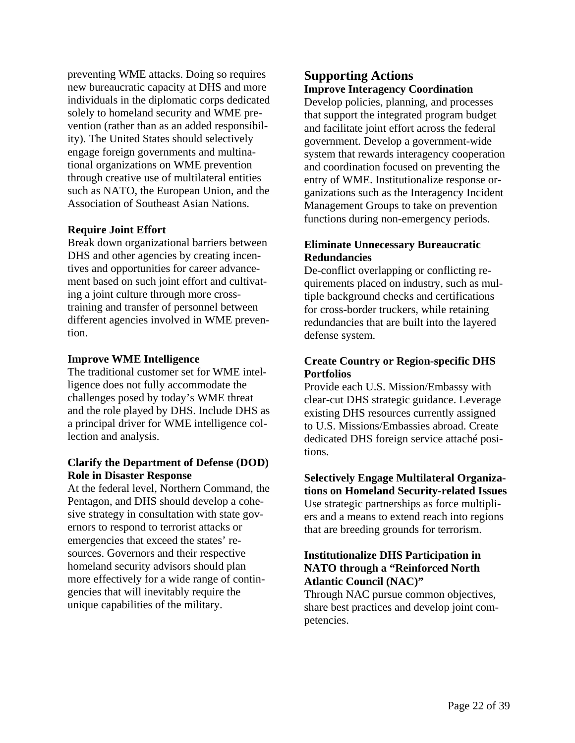preventing WME attacks. Doing so requires **Supporting Actions**  new bureaucratic capacity at DHS and more individuals in the diplomatic corps dedicated solely to homeland security and WME prevention (rather than as an added responsibility). The United States should selectively engage foreign governments and multinational organizations on WME prevention through creative use of multilateral entities such as NATO, the European Union, and the Association of Southeast Asian Nations.

### **Require Joint Effort**

Break down organizational barriers between DHS and other agencies by creating incentives and opportunities for career advancement based on such joint effort and cultivating a joint culture through more crosstraining and transfer of personnel between different agencies involved in WME prevention.

The traditional customer set for WME intel- **Portfolios**  ligence does not fully accommodate the challenges posed by today's WME threat and the role played by DHS. Include DHS as a principal driver for WME intelligence collection and analysis.

# **Clarify the Department of Defense (DOD)**

Pentagon, and DHS should develop a cohesive strategy in consultation with state governors to respond to terrorist attacks or emergencies that exceed the states' resources. Governors and their respective homeland security advisors should plan more effectively for a wide range of contingencies that will inevitably require the unique capabilities of the military.

# **Improve Interagency Coordination**

Develop policies, planning, and processes that support the integrated program budget and facilitate joint effort across the federal government. Develop a government-wide system that rewards interagency cooperation and coordination focused on preventing the entry of WME. Institutionalize response organizations such as the Interagency Incident Management Groups to take on prevention functions during non-emergency periods.

### **Eliminate Unnecessary Bureaucratic Redundancies**

De-conflict overlapping or conflicting requirements placed on industry, such as multiple background checks and certifications for cross-border truckers, while retaining redundancies that are built into the layered defense system.

# **Improve WME Intelligence** Create Country or Region-specific DHS

Provide each U.S. Mission/Embassy with clear-cut DHS strategic guidance. Leverage existing DHS resources currently assigned to U.S. Missions/Embassies abroad. Create dedicated DHS foreign service attaché positions.

# **Role in Disaster Response**<br>At the federal level, Northern Command, the **Selectively Engage Multilateral Organiza-**<br>**At the federal level, Northern Command, the Selectively Engage Multilateral Organiza**tions on Homeland Security-related Issues

Use strategic partnerships as force multipliers and a means to extend reach into regions that are breeding grounds for terrorism.

### **Institutionalize DHS Participation in NATO through a "Reinforced North Atlantic Council (NAC)"**

Through NAC pursue common objectives, share best practices and develop joint competencies.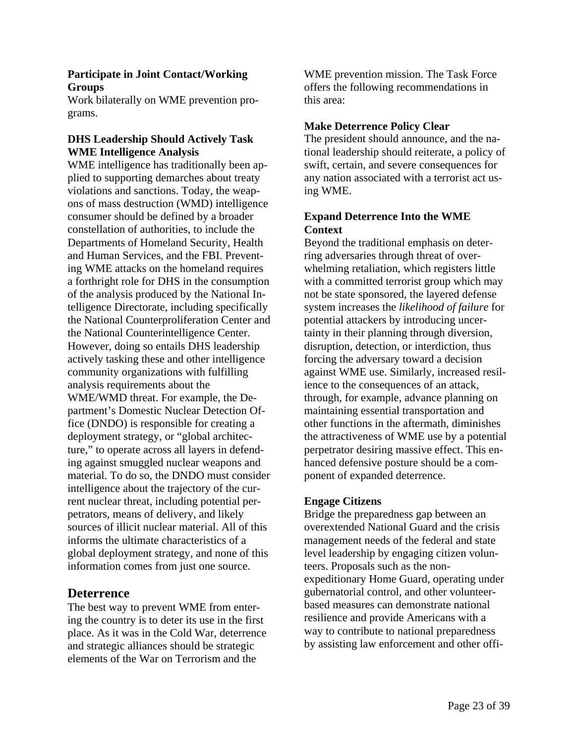### **Participate in Joint Contact/Working Groups**

Work bilaterally on WME prevention programs.

### **DHS Leadership Should Actively Task WME Intelligence Analysis**

WME intelligence has traditionally been applied to supporting demarches about treaty violations and sanctions. Today, the weapons of mass destruction (WMD) intelligence consumer should be defined by a broader constellation of authorities, to include the Departments of Homeland Security, Health and Human Services, and the FBI. Preventing WME attacks on the homeland requires a forthright role for DHS in the consumption of the analysis produced by the National Intelligence Directorate, including specifically the National Counterproliferation Center and the National Counterintelligence Center. However, doing so entails DHS leadership actively tasking these and other intelligence community organizations with fulfilling analysis requirements about the WME/WMD threat. For example, the Department's Domestic Nuclear Detection Office (DNDO) is responsible for creating a deployment strategy, or "global architecture," to operate across all layers in defending against smuggled nuclear weapons and material. To do so, the DNDO must consider intelligence about the trajectory of the current nuclear threat, including potential perpetrators, means of delivery, and likely sources of illicit nuclear material. All of this informs the ultimate characteristics of a global deployment strategy, and none of this information comes from just one source.

### **Deterrence**

The best way to prevent WME from entering the country is to deter its use in the first place. As it was in the Cold War, deterrence and strategic alliances should be strategic elements of the War on Terrorism and the

WME prevention mission. The Task Force offers the following recommendations in this area:

### **Make Deterrence Policy Clear**

The president should announce, and the national leadership should reiterate, a policy of swift, certain, and severe consequences for any nation associated with a terrorist act using WME.

### **Expand Deterrence Into the WME Context**

Beyond the traditional emphasis on deterring adversaries through threat of overwhelming retaliation, which registers little with a committed terrorist group which may not be state sponsored, the layered defense system increases the *likelihood of failure* for potential attackers by introducing uncertainty in their planning through diversion, disruption, detection, or interdiction, thus forcing the adversary toward a decision against WME use. Similarly, increased resilience to the consequences of an attack, through, for example, advance planning on maintaining essential transportation and other functions in the aftermath, diminishes the attractiveness of WME use by a potential perpetrator desiring massive effect. This enhanced defensive posture should be a component of expanded deterrence.

### **Engage Citizens**

Bridge the preparedness gap between an overextended National Guard and the crisis management needs of the federal and state level leadership by engaging citizen volunteers. Proposals such as the nonexpeditionary Home Guard, operating under gubernatorial control, and other volunteerbased measures can demonstrate national resilience and provide Americans with a way to contribute to national preparedness by assisting law enforcement and other offi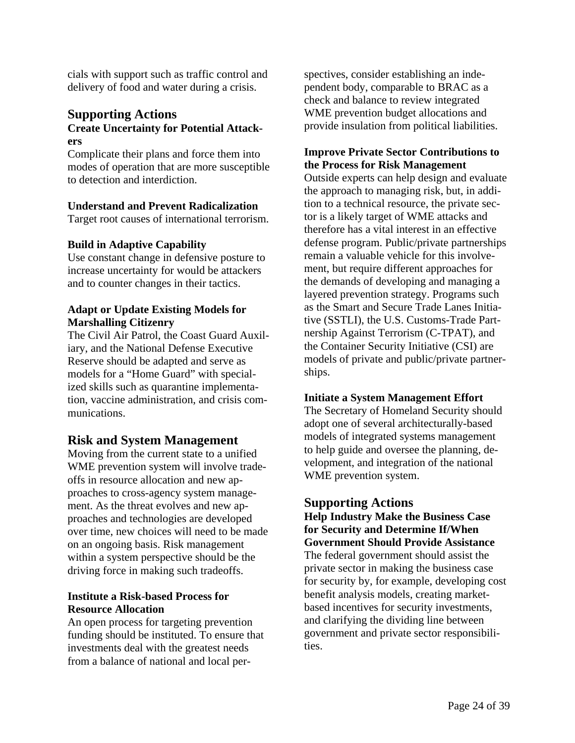cials with support such as traffic control and delivery of food and water during a crisis.

### **Supporting Actions Create Uncertainty for Potential Attackers**

Complicate their plans and force them into modes of operation that are more susceptible to detection and interdiction.

### **Understand and Prevent Radicalization**

Target root causes of international terrorism.

### **Build in Adaptive Capability**

Use constant change in defensive posture to increase uncertainty for would be attackers and to counter changes in their tactics.

### **Adapt or Update Existing Models for Marshalling Citizenry**

The Civil Air Patrol, the Coast Guard Auxiliary, and the National Defense Executive Reserve should be adapted and serve as models for a "Home Guard" with specialized skills such as quarantine implementation, vaccine administration, and crisis communications.

### **Risk and System Management**

Moving from the current state to a unified WME prevention system will involve tradeoffs in resource allocation and new approaches to cross-agency system management. As the threat evolves and new approaches and technologies are developed over time, new choices will need to be made on an ongoing basis. Risk management within a system perspective should be the driving force in making such tradeoffs.

### **Institute a Risk-based Process for Resource Allocation**

An open process for targeting prevention funding should be instituted. To ensure that investments deal with the greatest needs from a balance of national and local perspectives, consider establishing an independent body, comparable to BRAC as a check and balance to review integrated WME prevention budget allocations and provide insulation from political liabilities.

### **Improve Private Sector Contributions to the Process for Risk Management**

Outside experts can help design and evaluate the approach to managing risk, but, in addition to a technical resource, the private sector is a likely target of WME attacks and therefore has a vital interest in an effective defense program. Public/private partnerships remain a valuable vehicle for this involvement, but require different approaches for the demands of developing and managing a layered prevention strategy. Programs such as the Smart and Secure Trade Lanes Initiative (SSTLI), the U.S. Customs-Trade Partnership Against Terrorism (C-TPAT), and the Container Security Initiative (CSI) are models of private and public/private partnerships.

### **Initiate a System Management Effort**

The Secretary of Homeland Security should adopt one of several architecturally-based models of integrated systems management to help guide and oversee the planning, development, and integration of the national WME prevention system.

### **Supporting Actions**

**Help Industry Make the Business Case for Security and Determine If/When Government Should Provide Assistance**  The federal government should assist the private sector in making the business case for security by, for example, developing cost benefit analysis models, creating marketbased incentives for security investments, and clarifying the dividing line between government and private sector responsibilities.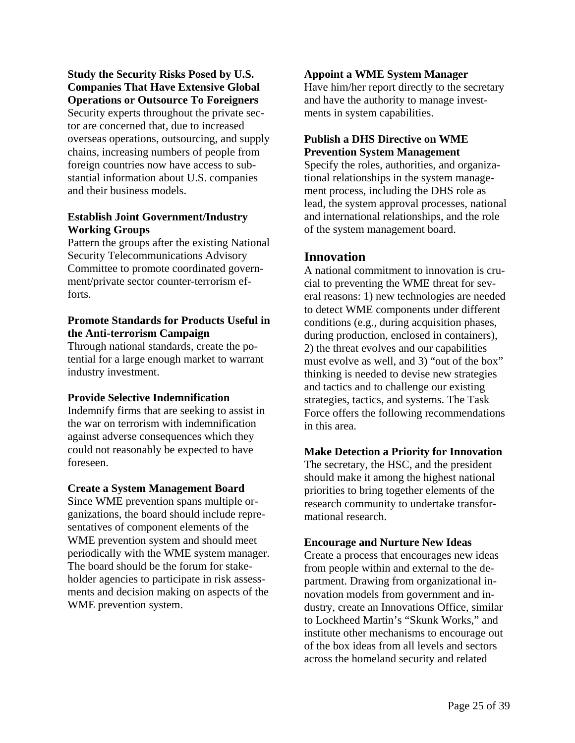**Study the Security Risks Posed by U.S. Companies That Have Extensive Global Operations or Outsource To Foreigners**

Security experts throughout the private sector are concerned that, due to increased overseas operations, outsourcing, and supply chains, increasing numbers of people from foreign countries now have access to substantial information about U.S. companies and their business models.

### **Establish Joint Government/Industry Working Groups**

Pattern the groups after the existing National Security Telecommunications Advisory Committee to promote coordinated government/private sector counter-terrorism efforts.

### **Promote Standards for Products Useful in the Anti-terrorism Campaign**

Through national standards, create the potential for a large enough market to warrant industry investment.

### **Provide Selective Indemnification**

Indemnify firms that are seeking to assist in the war on terrorism with indemnification against adverse consequences which they could not reasonably be expected to have foreseen.

### **Create a System Management Board**

Since WME prevention spans multiple organizations, the board should include representatives of component elements of the WME prevention system and should meet periodically with the WME system manager. The board should be the forum for stakeholder agencies to participate in risk assessments and decision making on aspects of the WME prevention system.

### **Appoint a WME System Manager**

Have him/her report directly to the secretary and have the authority to manage investments in system capabilities.

### **Publish a DHS Directive on WME Prevention System Management**

Specify the roles, authorities, and organizational relationships in the system management process, including the DHS role as lead, the system approval processes, national and international relationships, and the role of the system management board.

# **Innovation**

A national commitment to innovation is crucial to preventing the WME threat for several reasons: 1) new technologies are needed to detect WME components under different conditions (e.g., during acquisition phases, during production, enclosed in containers), 2) the threat evolves and our capabilities must evolve as well, and 3) "out of the box" thinking is needed to devise new strategies and tactics and to challenge our existing strategies, tactics, and systems. The Task Force offers the following recommendations in this area.

### **Make Detection a Priority for Innovation**

The secretary, the HSC, and the president should make it among the highest national priorities to bring together elements of the research community to undertake transformational research.

### **Encourage and Nurture New Ideas**

Create a process that encourages new ideas from people within and external to the department. Drawing from organizational innovation models from government and industry, create an Innovations Office, similar to Lockheed Martin's "Skunk Works," and institute other mechanisms to encourage out of the box ideas from all levels and sectors across the homeland security and related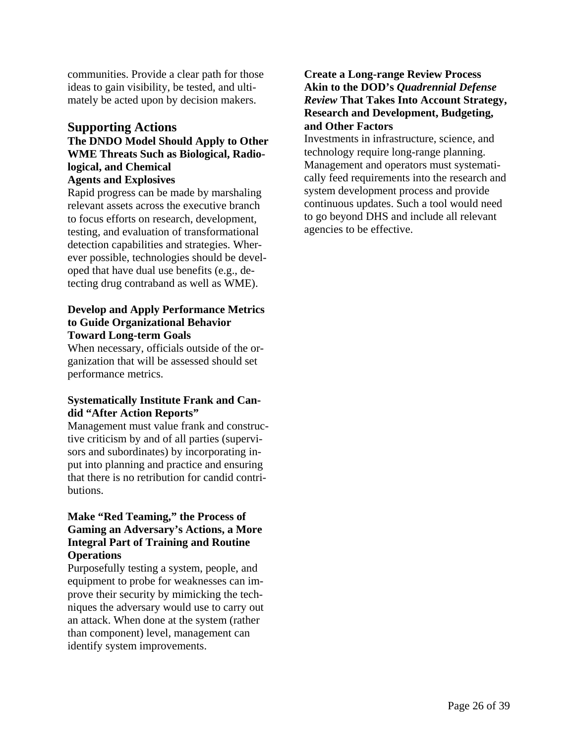communities. Provide a clear path for those ideas to gain visibility, be tested, and ultimately be acted upon by decision makers.

### **Supporting Actions**

### **The DNDO Model Should Apply to Other WME Threats Such as Biological, Radiological, and Chemical Agents and Explosives**

Rapid progress can be made by marshaling relevant assets across the executive branch to focus efforts on research, development, testing, and evaluation of transformational detection capabilities and strategies. Wherever possible, technologies should be developed that have dual use benefits (e.g., detecting drug contraband as well as WME).

### **Develop and Apply Performance Metrics to Guide Organizational Behavior Toward Long-term Goals**

When necessary, officials outside of the organization that will be assessed should set performance metrics.

### **Systematically Institute Frank and Candid "After Action Reports"**

Management must value frank and constructive criticism by and of all parties (supervisors and subordinates) by incorporating input into planning and practice and ensuring that there is no retribution for candid contributions.

### **Make "Red Teaming," the Process of Gaming an Adversary's Actions, a More Integral Part of Training and Routine Operations**

Purposefully testing a system, people, and equipment to probe for weaknesses can improve their security by mimicking the techniques the adversary would use to carry out an attack. When done at the system (rather than component) level, management can identify system improvements.

### **Create a Long-range Review Process Akin to the DOD's** *Quadrennial Defense Review* **That Takes Into Account Strategy, Research and Development, Budgeting, and Other Factors**

Investments in infrastructure, science, and technology require long-range planning. Management and operators must systematically feed requirements into the research and system development process and provide continuous updates. Such a tool would need to go beyond DHS and include all relevant agencies to be effective.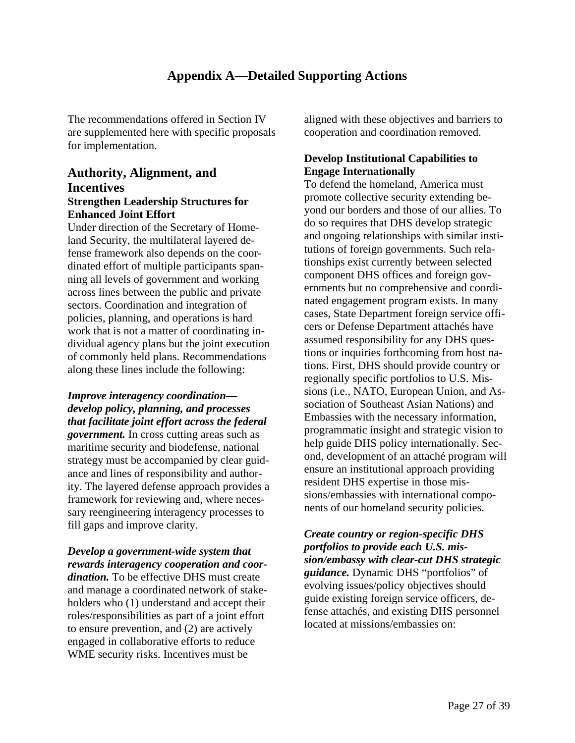# **Appendix A—Detailed Supporting Actions**

The recommendations offered in Section IV are supplemented here with specific proposals for implementation.

# **Authority, Alignment, and Incentives Strengthen Leadership Structures for**

**Enhanced Joint Effort**  Under direction of the Secretary of Homeland Security, the multilateral layered defense framework also depends on the coordinated effort of multiple participants spanning all levels of government and working across lines between the public and private sectors. Coordination and integration of policies, planning, and operations is hard work that is not a matter of coordinating individual agency plans but the joint execution of commonly held plans. Recommendations along these lines include the following:

*Improve interagency coordination develop policy, planning, and processes that facilitate joint effort across the federal government.* In cross cutting areas such as maritime security and biodefense, national strategy must be accompanied by clear guidance and lines of responsibility and authority. The layered defense approach provides a framework for reviewing and, where necessary reengineering interagency processes to fill gaps and improve clarity.

# *Develop a government-wide system that rewards interagency cooperation and coor-*

*dination.* To be effective DHS must create and manage a coordinated network of stakeholders who (1) understand and accept their roles/responsibilities as part of a joint effort to ensure prevention, and (2) are actively engaged in collaborative efforts to reduce WME security risks. Incentives must be

aligned with these objectives and barriers to cooperation and coordination removed.

### **Develop Institutional Capabilities to Engage Internationally**

To defend the homeland, America must promote collective security extending beyond our borders and those of our allies. To do so requires that DHS develop strategic and ongoing relationships with similar institutions of foreign governments. Such relationships exist currently between selected component DHS offices and foreign governments but no comprehensive and coordinated engagement program exists. In many cases, State Department foreign service officers or Defense Department attachés have assumed responsibility for any DHS questions or inquiries forthcoming from host nations. First, DHS should provide country or regionally specific portfolios to U.S. Missions (i.e., NATO, European Union, and Association of Southeast Asian Nations) and Embassies with the necessary information, programmatic insight and strategic vision to help guide DHS policy internationally. Second, development of an attaché program will ensure an institutional approach providing resident DHS expertise in those missions/embassies with international components of our homeland security policies.

*Create country or region-specific DHS portfolios to provide each U.S. mission/embassy with clear-cut DHS strategic guidance.* Dynamic DHS "portfolios" of evolving issues/policy objectives should guide existing foreign service officers, defense attachés, and existing DHS personnel located at missions/embassies on: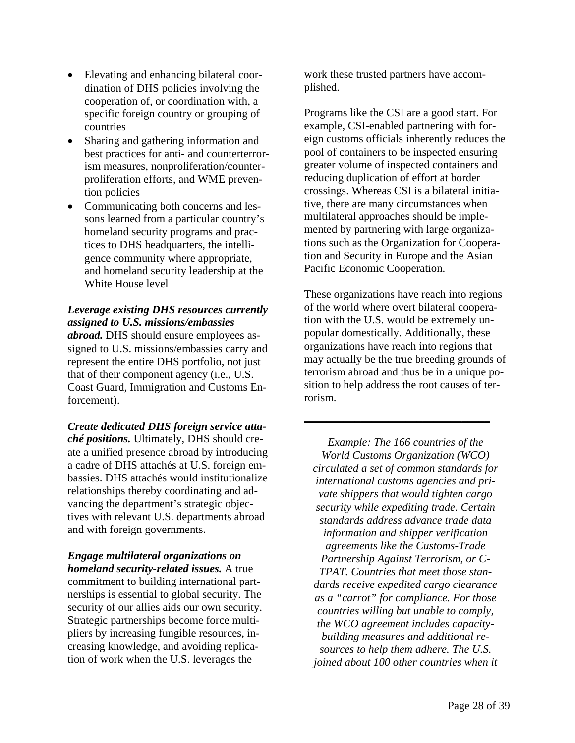- Elevating and enhancing bilateral coordination of DHS policies involving the cooperation of, or coordination with, a specific foreign country or grouping of countries
- Sharing and gathering information and best practices for anti- and counterterrorism measures, nonproliferation/counterproliferation efforts, and WME prevention policies
- Communicating both concerns and lessons learned from a particular country's homeland security programs and practices to DHS headquarters, the intelligence community where appropriate, and homeland security leadership at the White House level

### *Leverage existing DHS resources currently assigned to U.S. missions/embassies*

*abroad.* DHS should ensure employees assigned to U.S. missions/embassies carry and represent the entire DHS portfolio, not just that of their component agency (i.e., U.S. Coast Guard, Immigration and Customs Enforcement).

*Create dedicated DHS foreign service attaché positions.* Ultimately, DHS should create a unified presence abroad by introducing a cadre of DHS attachés at U.S. foreign embassies. DHS attachés would institutionalize relationships thereby coordinating and advancing the department's strategic objectives with relevant U.S. departments abroad and with foreign governments.

*Engage multilateral organizations on homeland security-related issues.* A true commitment to building international partnerships is essential to global security. The security of our allies aids our own security. Strategic partnerships become force multipliers by increasing fungible resources, increasing knowledge, and avoiding replication of work when the U.S. leverages the

work these trusted partners have accomplished.

Programs like the CSI are a good start. For example, CSI-enabled partnering with foreign customs officials inherently reduces the pool of containers to be inspected ensuring greater volume of inspected containers and reducing duplication of effort at border crossings. Whereas CSI is a bilateral initiative, there are many circumstances when multilateral approaches should be implemented by partnering with large organizations such as the Organization for Cooperation and Security in Europe and the Asian Pacific Economic Cooperation.

These organizations have reach into regions of the world where overt bilateral cooperation with the U.S. would be extremely unpopular domestically. Additionally, these organizations have reach into regions that may actually be the true breeding grounds of terrorism abroad and thus be in a unique position to help address the root causes of terrorism.

\_\_\_\_\_\_\_\_\_\_\_\_\_\_\_\_\_\_\_\_\_\_\_\_\_\_\_\_\_\_\_\_\_

*Example: The 166 countries of the World Customs Organization (WCO) circulated a set of common standards for international customs agencies and private shippers that would tighten cargo security while expediting trade. Certain standards address advance trade data information and shipper verification agreements like the Customs-Trade Partnership Against Terrorism, or C-TPAT. Countries that meet those standards receive expedited cargo clearance as a "carrot" for compliance. For those countries willing but unable to comply, the WCO agreement includes capacitybuilding measures and additional resources to help them adhere. The U.S. joined about 100 other countries when it*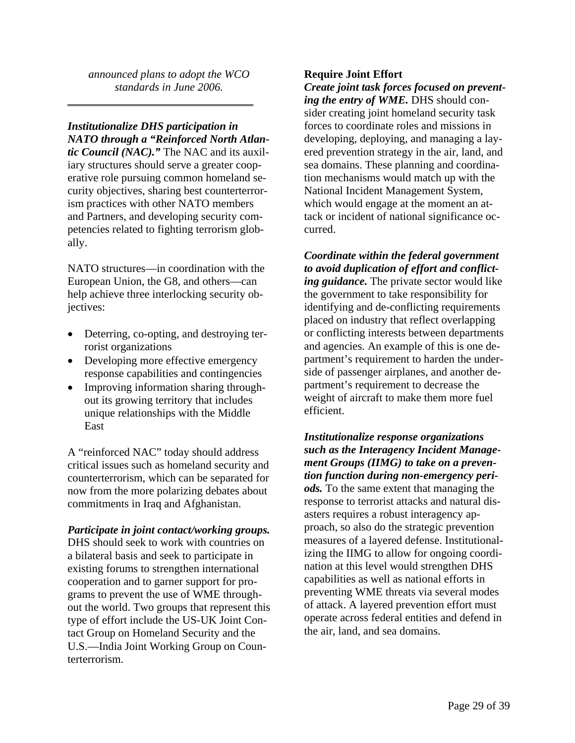*announced plans to adopt the WCO standards in June 2006.* 

*Institutionalize DHS participation in NATO through a "Reinforced North Atlan-*

\_\_\_\_\_\_\_\_\_\_\_\_\_\_\_\_\_\_\_\_\_\_\_\_\_\_\_\_\_\_\_\_\_

*tic Council (NAC)."* The NAC and its auxiliary structures should serve a greater cooperative role pursuing common homeland security objectives, sharing best counterterrorism practices with other NATO members and Partners, and developing security competencies related to fighting terrorism globally.

NATO structures—in coordination with the European Union, the G8, and others—can help achieve three interlocking security objectives:

- Deterring, co-opting, and destroying terrorist organizations
- Developing more effective emergency response capabilities and contingencies
- Improving information sharing throughout its growing territory that includes unique relationships with the Middle **East**

A "reinforced NAC" today should address critical issues such as homeland security and counterterrorism, which can be separated for now from the more polarizing debates about commitments in Iraq and Afghanistan.

### *Participate in joint contact/working groups.*

DHS should seek to work with countries on a bilateral basis and seek to participate in existing forums to strengthen international cooperation and to garner support for programs to prevent the use of WME throughout the world. Two groups that represent this type of effort include the US-UK Joint Contact Group on Homeland Security and the U.S.—India Joint Working Group on Counterterrorism.

### **Require Joint Effort**

*Create joint task forces focused on preventing the entry of WME.* DHS should consider creating joint homeland security task forces to coordinate roles and missions in developing, deploying, and managing a layered prevention strategy in the air, land, and sea domains. These planning and coordination mechanisms would match up with the National Incident Management System, which would engage at the moment an attack or incident of national significance occurred.

*Coordinate within the federal government to avoid duplication of effort and conflicting guidance.* The private sector would like the government to take responsibility for identifying and de-conflicting requirements placed on industry that reflect overlapping or conflicting interests between departments and agencies. An example of this is one department's requirement to harden the underside of passenger airplanes, and another department's requirement to decrease the weight of aircraft to make them more fuel efficient.

*Institutionalize response organizations such as the Interagency Incident Management Groups (IIMG) to take on a prevention function during non-emergency periods.* To the same extent that managing the response to terrorist attacks and natural disasters requires a robust interagency approach, so also do the strategic prevention measures of a layered defense. Institutionalizing the IIMG to allow for ongoing coordination at this level would strengthen DHS capabilities as well as national efforts in preventing WME threats via several modes of attack. A layered prevention effort must operate across federal entities and defend in the air, land, and sea domains.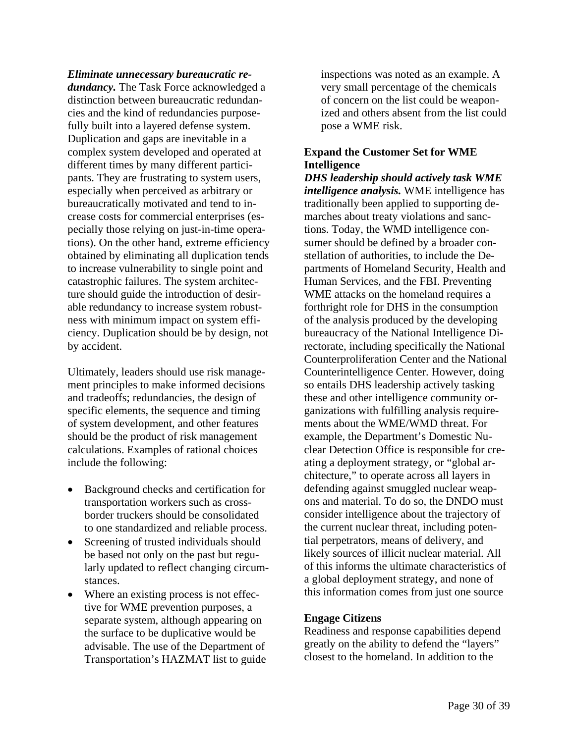*Eliminate unnecessary bureaucratic redundancy.* The Task Force acknowledged a distinction between bureaucratic redundancies and the kind of redundancies purposefully built into a layered defense system. Duplication and gaps are inevitable in a complex system developed and operated at different times by many different participants. They are frustrating to system users, especially when perceived as arbitrary or bureaucratically motivated and tend to increase costs for commercial enterprises (especially those relying on just-in-time operations). On the other hand, extreme efficiency obtained by eliminating all duplication tends to increase vulnerability to single point and catastrophic failures. The system architecture should guide the introduction of desirable redundancy to increase system robustness with minimum impact on system efficiency. Duplication should be by design, not by accident.

Ultimately, leaders should use risk management principles to make informed decisions and tradeoffs; redundancies, the design of specific elements, the sequence and timing of system development, and other features should be the product of risk management calculations. Examples of rational choices include the following:

- Background checks and certification for transportation workers such as crossborder truckers should be consolidated to one standardized and reliable process.
- Screening of trusted individuals should be based not only on the past but regularly updated to reflect changing circumstances.
- Where an existing process is not effective for WME prevention purposes, a separate system, although appearing on the surface to be duplicative would be advisable. The use of the Department of Transportation's HAZMAT list to guide

inspections was noted as an example. A very small percentage of the chemicals of concern on the list could be weaponized and others absent from the list could pose a WME risk.

### **Expand the Customer Set for WME Intelligence**

*DHS leadership should actively task WME intelligence analysis.* WME intelligence has traditionally been applied to supporting demarches about treaty violations and sanctions. Today, the WMD intelligence consumer should be defined by a broader constellation of authorities, to include the Departments of Homeland Security, Health and Human Services, and the FBI. Preventing WME attacks on the homeland requires a forthright role for DHS in the consumption of the analysis produced by the developing bureaucracy of the National Intelligence Directorate, including specifically the National Counterproliferation Center and the National Counterintelligence Center. However, doing so entails DHS leadership actively tasking these and other intelligence community organizations with fulfilling analysis requirements about the WME/WMD threat. For example, the Department's Domestic Nuclear Detection Office is responsible for creating a deployment strategy, or "global architecture," to operate across all layers in defending against smuggled nuclear weapons and material. To do so, the DNDO must consider intelligence about the trajectory of the current nuclear threat, including potential perpetrators, means of delivery, and likely sources of illicit nuclear material. All of this informs the ultimate characteristics of a global deployment strategy, and none of this information comes from just one source

### **Engage Citizens**

Readiness and response capabilities depend greatly on the ability to defend the "layers" closest to the homeland. In addition to the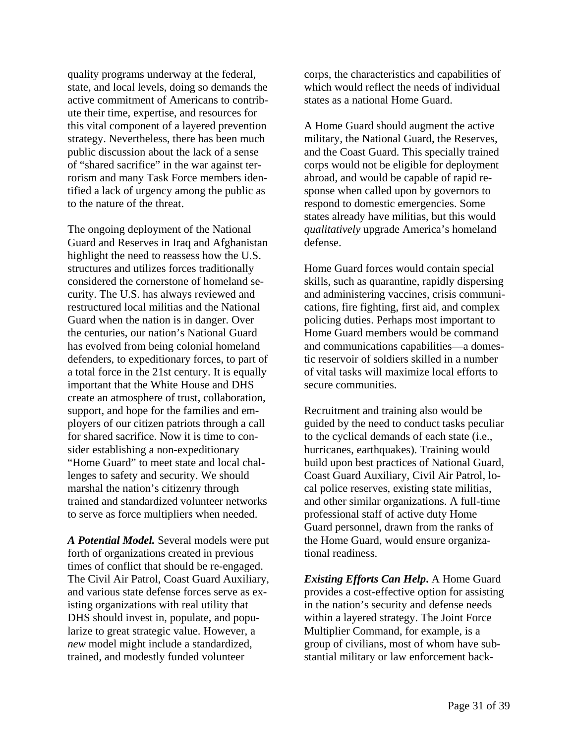quality programs underway at the federal, state, and local levels, doing so demands the active commitment of Americans to contribute their time, expertise, and resources for this vital component of a layered prevention strategy. Nevertheless, there has been much public discussion about the lack of a sense of "shared sacrifice" in the war against terrorism and many Task Force members identified a lack of urgency among the public as to the nature of the threat.

The ongoing deployment of the National Guard and Reserves in Iraq and Afghanistan highlight the need to reassess how the U.S. structures and utilizes forces traditionally considered the cornerstone of homeland security. The U.S. has always reviewed and restructured local militias and the National Guard when the nation is in danger. Over the centuries, our nation's National Guard has evolved from being colonial homeland defenders, to expeditionary forces, to part of a total force in the 21st century. It is equally important that the White House and DHS create an atmosphere of trust, collaboration, support, and hope for the families and employers of our citizen patriots through a call for shared sacrifice. Now it is time to consider establishing a non-expeditionary "Home Guard" to meet state and local challenges to safety and security. We should marshal the nation's citizenry through trained and standardized volunteer networks to serve as force multipliers when needed.

*A Potential Model.* Several models were put forth of organizations created in previous times of conflict that should be re-engaged. The Civil Air Patrol, Coast Guard Auxiliary, and various state defense forces serve as existing organizations with real utility that DHS should invest in, populate, and popularize to great strategic value. However, a *new* model might include a standardized, trained, and modestly funded volunteer

corps, the characteristics and capabilities of which would reflect the needs of individual states as a national Home Guard.

A Home Guard should augment the active military, the National Guard, the Reserves, and the Coast Guard. This specially trained corps would not be eligible for deployment abroad, and would be capable of rapid response when called upon by governors to respond to domestic emergencies. Some states already have militias, but this would *qualitatively* upgrade America's homeland defense.

Home Guard forces would contain special skills, such as quarantine, rapidly dispersing and administering vaccines, crisis communications, fire fighting, first aid, and complex policing duties. Perhaps most important to Home Guard members would be command and communications capabilities—a domestic reservoir of soldiers skilled in a number of vital tasks will maximize local efforts to secure communities.

Recruitment and training also would be guided by the need to conduct tasks peculiar to the cyclical demands of each state (i.e., hurricanes, earthquakes). Training would build upon best practices of National Guard, Coast Guard Auxiliary, Civil Air Patrol, local police reserves, existing state militias, and other similar organizations. A full-time professional staff of active duty Home Guard personnel, drawn from the ranks of the Home Guard, would ensure organizational readiness.

*Existing Efforts Can Help***.** A Home Guard provides a cost-effective option for assisting in the nation's security and defense needs within a layered strategy. The Joint Force Multiplier Command, for example, is a group of civilians, most of whom have substantial military or law enforcement back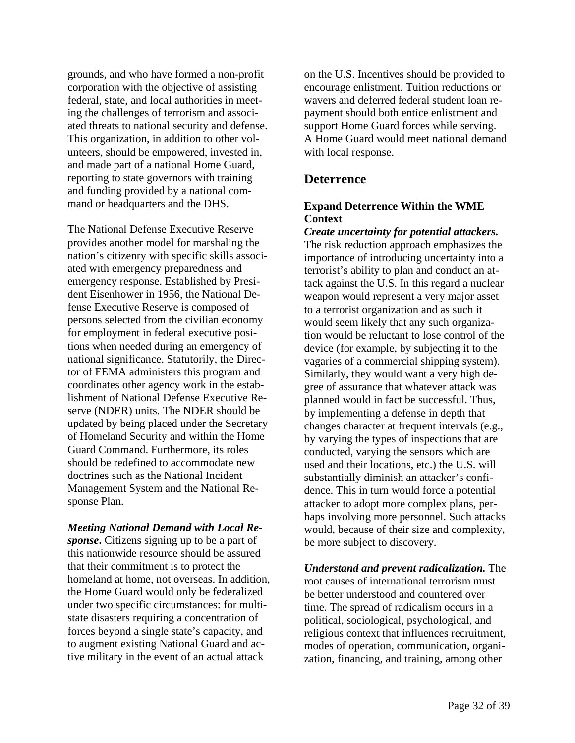grounds, and who have formed a non-profit corporation with the objective of assisting federal, state, and local authorities in meeting the challenges of terrorism and associated threats to national security and defense. This organization, in addition to other volunteers, should be empowered, invested in, and made part of a national Home Guard, reporting to state governors with training and funding provided by a national command or headquarters and the DHS.

The National Defense Executive Reserve provides another model for marshaling the nation's citizenry with specific skills associated with emergency preparedness and emergency response. Established by President Eisenhower in 1956, the National Defense Executive Reserve is composed of persons selected from the civilian economy for employment in federal executive positions when needed during an emergency of national significance. Statutorily, the Director of FEMA administers this program and coordinates other agency work in the establishment of National Defense Executive Reserve (NDER) units. The NDER should be updated by being placed under the Secretary of Homeland Security and within the Home Guard Command. Furthermore, its roles should be redefined to accommodate new doctrines such as the National Incident Management System and the National Response Plan.

*Meeting National Demand with Local Response***.** Citizens signing up to be a part of this nationwide resource should be assured that their commitment is to protect the homeland at home, not overseas. In addition, the Home Guard would only be federalized under two specific circumstances: for multistate disasters requiring a concentration of forces beyond a single state's capacity, and to augment existing National Guard and active military in the event of an actual attack

on the U.S. Incentives should be provided to encourage enlistment. Tuition reductions or wavers and deferred federal student loan repayment should both entice enlistment and support Home Guard forces while serving. A Home Guard would meet national demand with local response.

### **Deterrence**

### **Expand Deterrence Within the WME Context**

*Create uncertainty for potential attackers.* The risk reduction approach emphasizes the importance of introducing uncertainty into a terrorist's ability to plan and conduct an attack against the U.S. In this regard a nuclear weapon would represent a very major asset to a terrorist organization and as such it would seem likely that any such organization would be reluctant to lose control of the device (for example, by subjecting it to the vagaries of a commercial shipping system). Similarly, they would want a very high degree of assurance that whatever attack was planned would in fact be successful. Thus, by implementing a defense in depth that changes character at frequent intervals (e.g., by varying the types of inspections that are conducted, varying the sensors which are used and their locations, etc.) the U.S. will substantially diminish an attacker's confidence. This in turn would force a potential attacker to adopt more complex plans, perhaps involving more personnel. Such attacks would, because of their size and complexity, be more subject to discovery.

*Understand and prevent radicalization.* The root causes of international terrorism must be better understood and countered over time. The spread of radicalism occurs in a political, sociological, psychological, and religious context that influences recruitment, modes of operation, communication, organization, financing, and training, among other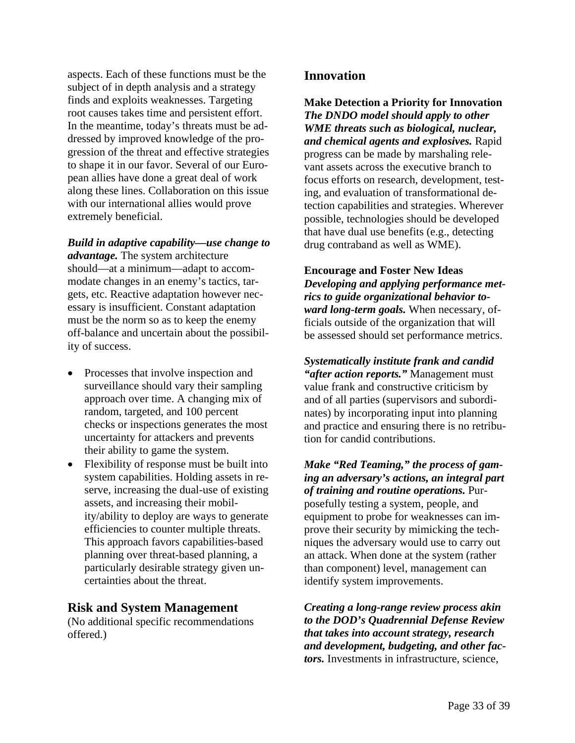aspects. Each of these functions must be the subject of in depth analysis and a strategy finds and exploits weaknesses. Targeting root causes takes time and persistent effort. In the meantime, today's threats must be addressed by improved knowledge of the progression of the threat and effective strategies to shape it in our favor. Several of our European allies have done a great deal of work along these lines. Collaboration on this issue with our international allies would prove extremely beneficial.

*Build in adaptive capability—use change to advantage.* The system architecture should—at a minimum—adapt to accommodate changes in an enemy's tactics, targets, etc. Reactive adaptation however necessary is insufficient. Constant adaptation must be the norm so as to keep the enemy off-balance and uncertain about the possibility of success.

- Processes that involve inspection and surveillance should vary their sampling approach over time. A changing mix of random, targeted, and 100 percent checks or inspections generates the most uncertainty for attackers and prevents their ability to game the system.
- Flexibility of response must be built into system capabilities. Holding assets in reserve, increasing the dual-use of existing assets, and increasing their mobility/ability to deploy are ways to generate efficiencies to counter multiple threats. This approach favors capabilities-based planning over threat-based planning, a particularly desirable strategy given uncertainties about the threat.

### **Risk and System Management**

(No additional specific recommendations offered.)

### **Innovation**

**Make Detection a Priority for Innovation**  *The DNDO model should apply to other WME threats such as biological, nuclear, and chemical agents and explosives.* Rapid progress can be made by marshaling relevant assets across the executive branch to focus efforts on research, development, testing, and evaluation of transformational detection capabilities and strategies. Wherever possible, technologies should be developed that have dual use benefits (e.g., detecting drug contraband as well as WME).

**Encourage and Foster New Ideas**  *Developing and applying performance metrics to guide organizational behavior toward long-term goals.* When necessary, officials outside of the organization that will be assessed should set performance metrics.

*Systematically institute frank and candid "after action reports."* Management must value frank and constructive criticism by and of all parties (supervisors and subordinates) by incorporating input into planning and practice and ensuring there is no retribution for candid contributions.

*Make "Red Teaming," the process of gaming an adversary's actions, an integral part of training and routine operations.* Purposefully testing a system, people, and equipment to probe for weaknesses can improve their security by mimicking the techniques the adversary would use to carry out an attack. When done at the system (rather than component) level, management can identify system improvements.

*Creating a long-range review process akin to the DOD's Quadrennial Defense Review that takes into account strategy, research and development, budgeting, and other factors.* Investments in infrastructure, science,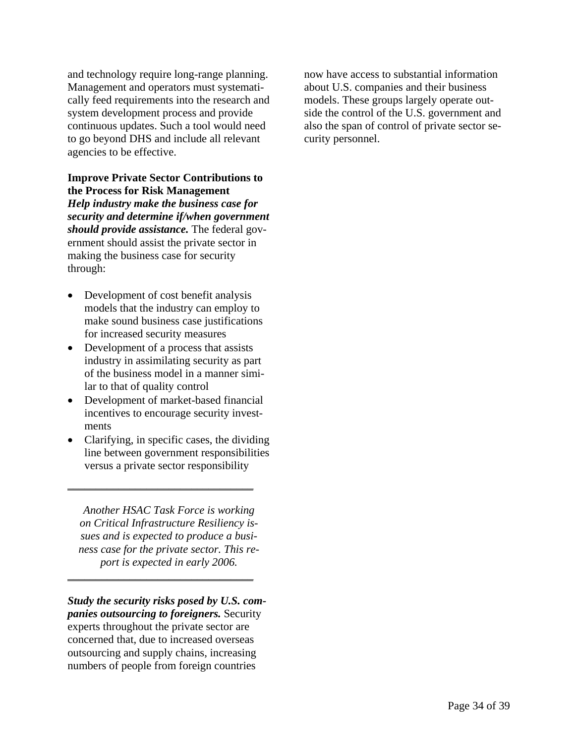and technology require long-range planning. Management and operators must systematically feed requirements into the research and system development process and provide continuous updates. Such a tool would need to go beyond DHS and include all relevant agencies to be effective.

**Improve Private Sector Contributions to the Process for Risk Management**  *Help industry make the business case for security and determine if/when government should provide assistance.* The federal government should assist the private sector in making the business case for security through:

- Development of cost benefit analysis models that the industry can employ to make sound business case justifications for increased security measures
- Development of a process that assists industry in assimilating security as part of the business model in a manner similar to that of quality control
- Development of market-based financial incentives to encourage security investments
- Clarifying, in specific cases, the dividing line between government responsibilities versus a private sector responsibility

\_\_\_\_\_\_\_\_\_\_\_\_\_\_\_\_\_\_\_\_\_\_\_\_\_\_\_\_\_\_\_\_\_

*Another HSAC Task Force is working on Critical Infrastructure Resiliency issues and is expected to produce a business case for the private sector. This report is expected in early 2006.* 

\_\_\_\_\_\_\_\_\_\_\_\_\_\_\_\_\_\_\_\_\_\_\_\_\_\_\_\_\_\_\_\_\_

*Study the security risks posed by U.S. companies outsourcing to foreigners.* Security experts throughout the private sector are concerned that, due to increased overseas outsourcing and supply chains, increasing numbers of people from foreign countries

now have access to substantial information about U.S. companies and their business models. These groups largely operate outside the control of the U.S. government and also the span of control of private sector security personnel.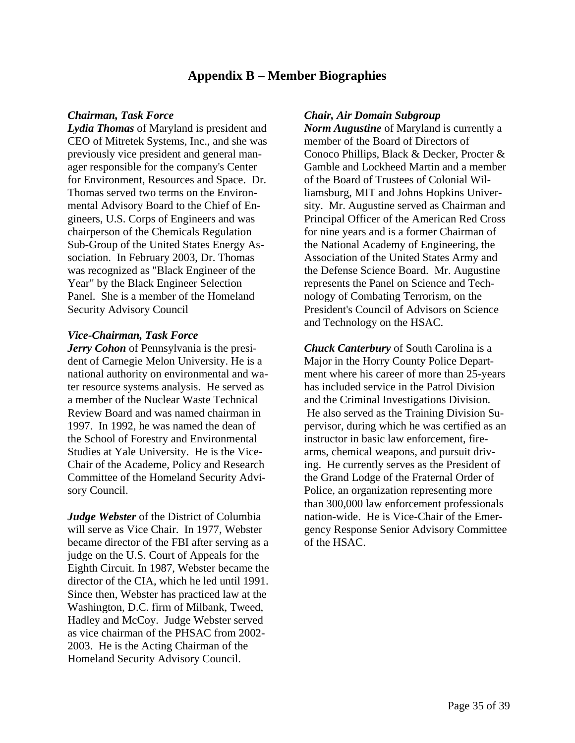# **Appendix B – Member Biographies**

*Lydia Thomas* of Maryland is president and CEO of Mitretek Systems, Inc., and she was previously vice president and general manager responsible for the company's Center for Environment, Resources and Space. Dr. Thomas served two terms on the Environmental Advisory Board to the Chief of Engineers, U.S. Corps of Engineers and was chairperson of the Chemicals Regulation Sub-Group of the United States Energy Association. In February 2003, Dr. Thomas was recognized as "Black Engineer of the Year" by the Black Engineer Selection Panel. She is a member of the Homeland Security Advisory Council

### *Vice-Chairman, Task Force*

*Jerry Cohon* of Pennsylvania is the president of Carnegie Melon University. He is a national authority on environmental and water resource systems analysis. He served as a member of the Nuclear Waste Technical Review Board and was named chairman in 1997. In 1992, he was named the dean of the School of Forestry and Environmental Studies at Yale University. He is the Vice-Chair of the Academe, Policy and Research Committee of the Homeland Security Advisory Council.

*Judge Webster* of the District of Columbia will serve as Vice Chair. In 1977, Webster became director of the FBI after serving as a judge on the U.S. Court of Appeals for the Eighth Circuit. In 1987, Webster became the director of the CIA, which he led until 1991. Since then, Webster has practiced law at the Washington, D.C. firm of Milbank, Tweed, Hadley and McCoy. Judge Webster served as vice chairman of the PHSAC from 2002- 2003. He is the Acting Chairman of the Homeland Security Advisory Council.

### *Chairman, Task Force Chair, Air Domain Subgroup*

*Norm Augustine* of Maryland is currently a member of the Board of Directors of Conoco Phillips, Black & Decker, Procter & Gamble and Lockheed Martin and a member of the Board of Trustees of Colonial Williamsburg, MIT and Johns Hopkins University. Mr. Augustine served as Chairman and Principal Officer of the American Red Cross for nine years and is a former Chairman of the National Academy of Engineering, the Association of the United States Army and the Defense Science Board. Mr. Augustine represents the Panel on Science and Technology of Combating Terrorism, on the President's Council of Advisors on Science and Technology on the HSAC.

*Chuck Canterbury* of South Carolina is a Major in the Horry County Police Department where his career of more than 25-years has included service in the Patrol Division and the Criminal Investigations Division. He also served as the Training Division Supervisor, during which he was certified as an instructor in basic law enforcement, firearms, chemical weapons, and pursuit driving. He currently serves as the President of the Grand Lodge of the Fraternal Order of Police, an organization representing more than 300,000 law enforcement professionals nation-wide. He is Vice-Chair of the Emergency Response Senior Advisory Committee of the HSAC.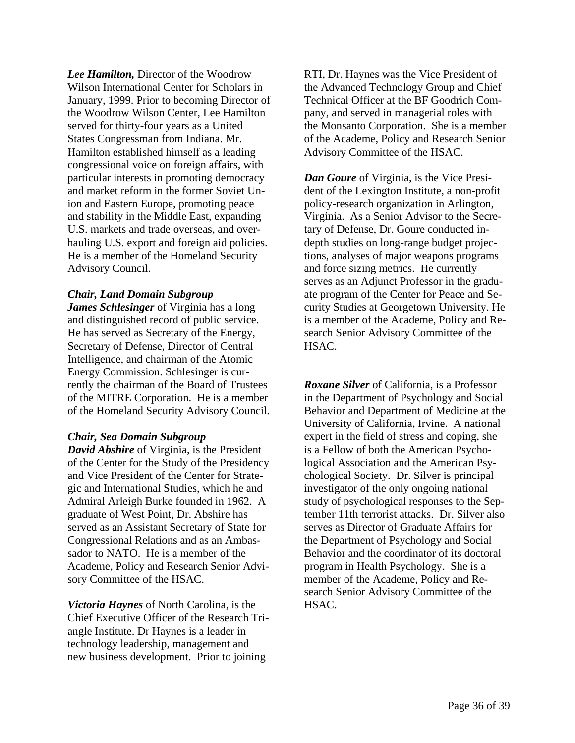*Lee Hamilton,* Director of the Woodrow Wilson International Center for Scholars in January, 1999. Prior to becoming Director of the Woodrow Wilson Center, Lee Hamilton served for thirty-four years as a United States Congressman from Indiana. Mr. Hamilton established himself as a leading congressional voice on foreign affairs, with particular interests in promoting democracy and market reform in the former Soviet Union and Eastern Europe, promoting peace and stability in the Middle East, expanding U.S. markets and trade overseas, and overhauling U.S. export and foreign aid policies. He is a member of the Homeland Security Advisory Council.

### *Chair, Land Domain Subgroup*

*James Schlesinger* of Virginia has a long and distinguished record of public service. He has served as Secretary of the Energy, Secretary of Defense, Director of Central Intelligence, and chairman of the Atomic Energy Commission. Schlesinger is currently the chairman of the Board of Trustees of the MITRE Corporation. He is a member of the Homeland Security Advisory Council.

### *Chair, Sea Domain Subgroup*

*David Abshire* of Virginia, is the President of the Center for the Study of the Presidency and Vice President of the Center for Strategic and International Studies, which he and Admiral Arleigh Burke founded in 1962. A graduate of West Point, Dr. Abshire has served as an Assistant Secretary of State for Congressional Relations and as an Ambassador to NATO. He is a member of the Academe, Policy and Research Senior Advisory Committee of the HSAC.

*Victoria Haynes* of North Carolina, is the Chief Executive Officer of the Research Triangle Institute. Dr Haynes is a leader in technology leadership, management and new business development. Prior to joining

RTI, Dr. Haynes was the Vice President of the Advanced Technology Group and Chief Technical Officer at the BF Goodrich Company, and served in managerial roles with the Monsanto Corporation. She is a member of the Academe, Policy and Research Senior Advisory Committee of the HSAC.

*Dan Goure* of Virginia, is the Vice President of the Lexington Institute, a non-profit policy-research organization in Arlington, Virginia. As a Senior Advisor to the Secretary of Defense, Dr. Goure conducted indepth studies on long-range budget projections, analyses of major weapons programs and force sizing metrics. He currently serves as an Adjunct Professor in the graduate program of the Center for Peace and Security Studies at Georgetown University. He is a member of the Academe, Policy and Research Senior Advisory Committee of the HSAC.

*Roxane Silver* of California, is a Professor in the Department of Psychology and Social Behavior and Department of Medicine at the University of California, Irvine. A national expert in the field of stress and coping, she is a Fellow of both the American Psychological Association and the American Psychological Society. Dr. Silver is principal investigator of the only ongoing national study of psychological responses to the September 11th terrorist attacks. Dr. Silver also serves as Director of Graduate Affairs for the Department of Psychology and Social Behavior and the coordinator of its doctoral program in Health Psychology. She is a member of the Academe, Policy and Research Senior Advisory Committee of the HSAC.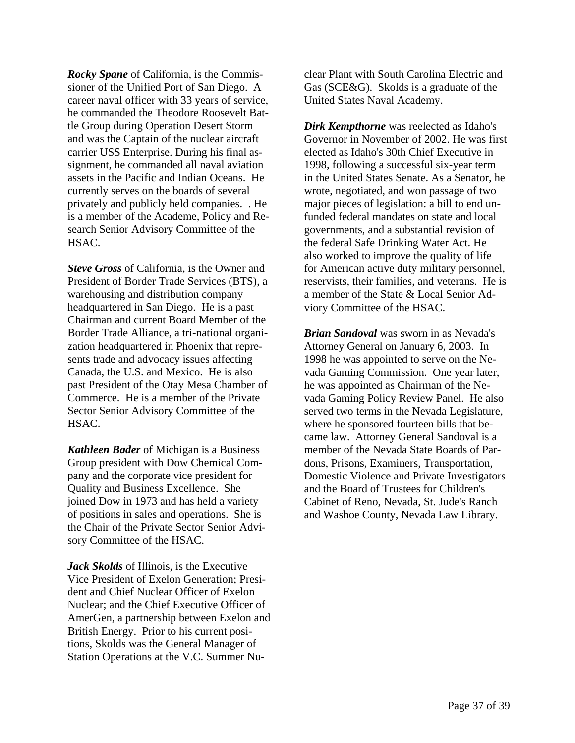*Rocky Spane* of California, is the Commissioner of the Unified Port of San Diego. A career naval officer with 33 years of service, he commanded the Theodore Roosevelt Battle Group during Operation Desert Storm and was the Captain of the nuclear aircraft carrier USS Enterprise. During his final assignment, he commanded all naval aviation assets in the Pacific and Indian Oceans. He currently serves on the boards of several privately and publicly held companies. . He is a member of the Academe, Policy and Research Senior Advisory Committee of the HSAC.

*Steve Gross* of California, is the Owner and President of Border Trade Services (BTS), a warehousing and distribution company headquartered in San Diego. He is a past Chairman and current Board Member of the Border Trade Alliance, a tri-national organization headquartered in Phoenix that represents trade and advocacy issues affecting Canada, the U.S. and Mexico. He is also past President of the Otay Mesa Chamber of Commerce. He is a member of the Private Sector Senior Advisory Committee of the HSAC.

*Kathleen Bader* of Michigan is a Business Group president with Dow Chemical Company and the corporate vice president for Quality and Business Excellence. She joined Dow in 1973 and has held a variety of positions in sales and operations. She is the Chair of the Private Sector Senior Advisory Committee of the HSAC.

*Jack Skolds* of Illinois, is the Executive Vice President of Exelon Generation; President and Chief Nuclear Officer of Exelon Nuclear; and the Chief Executive Officer of AmerGen, a partnership between Exelon and British Energy. Prior to his current positions, Skolds was the General Manager of Station Operations at the V.C. Summer Nuclear Plant with South Carolina Electric and Gas (SCE&G). Skolds is a graduate of the United States Naval Academy.

*Dirk Kempthorne* was reelected as Idaho's Governor in November of 2002. He was first elected as Idaho's 30th Chief Executive in 1998, following a successful six-year term in the United States Senate. As a Senator, he wrote, negotiated, and won passage of two major pieces of legislation: a bill to end unfunded federal mandates on state and local governments, and a substantial revision of the federal Safe Drinking Water Act. He also worked to improve the quality of life for American active duty military personnel, reservists, their families, and veterans. He is a member of the State & Local Senior Adviory Committee of the HSAC.

*Brian Sandoval* was sworn in as Nevada's Attorney General on January 6, 2003. In 1998 he was appointed to serve on the Nevada Gaming Commission. One year later, he was appointed as Chairman of the Nevada Gaming Policy Review Panel. He also served two terms in the Nevada Legislature, where he sponsored fourteen bills that became law. Attorney General Sandoval is a member of the Nevada State Boards of Pardons, Prisons, Examiners, Transportation, Domestic Violence and Private Investigators and the Board of Trustees for Children's Cabinet of Reno, Nevada, St. Jude's Ranch and Washoe County, Nevada Law Library.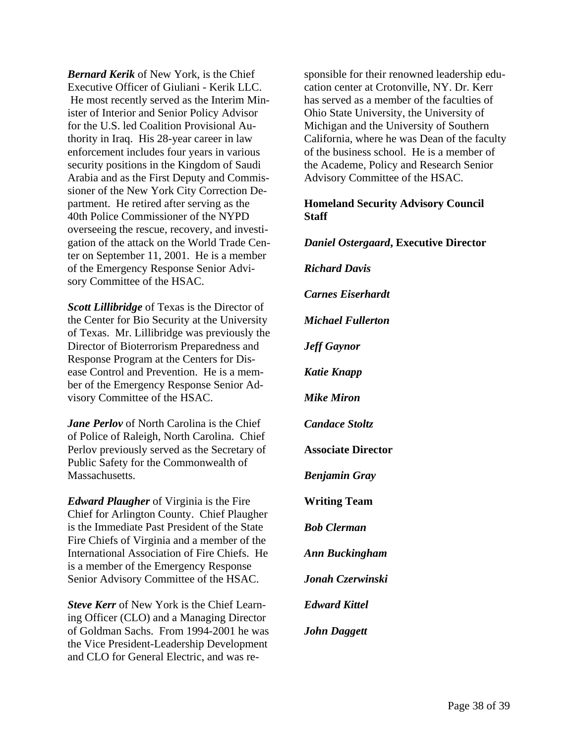*Bernard Kerik* of New York, is the Chief Executive Officer of Giuliani - Kerik LLC. He most recently served as the Interim Minister of Interior and Senior Policy Advisor for the U.S. led Coalition Provisional Authority in Iraq. His 28-year career in law enforcement includes four years in various security positions in the Kingdom of Saudi Arabia and as the First Deputy and Commissioner of the New York City Correction Department. He retired after serving as the 40th Police Commissioner of the NYPD overseeing the rescue, recovery, and investigation of the attack on the World Trade Center on September 11, 2001. He is a member of the Emergency Response Senior Advisory Committee of the HSAC.

*Scott Lillibridge* of Texas is the Director of the Center for Bio Security at the University of Texas. Mr. Lillibridge was previously the Director of Bioterrorism Preparedness and Response Program at the Centers for Disease Control and Prevention. He is a member of the Emergency Response Senior Advisory Committee of the HSAC.

*Jane Perlov* of North Carolina is the Chief of Police of Raleigh, North Carolina. Chief Perlov previously served as the Secretary of Public Safety for the Commonwealth of Massachusetts.

*Edward Plaugher* of Virginia is the Fire Chief for Arlington County. Chief Plaugher is the Immediate Past President of the State Fire Chiefs of Virginia and a member of the International Association of Fire Chiefs. He is a member of the Emergency Response Senior Advisory Committee of the HSAC.

*Steve Kerr* of New York is the Chief Learning Officer (CLO) and a Managing Director of Goldman Sachs. From 1994-2001 he was the Vice President-Leadership Development and CLO for General Electric, and was responsible for their renowned leadership education center at Crotonville, NY. Dr. Kerr has served as a member of the faculties of Ohio State University, the University of Michigan and the University of Southern California, where he was Dean of the faculty of the business school. He is a member of the Academe, Policy and Research Senior Advisory Committee of the HSAC.

### **Homeland Security Advisory Council Staff**

*Daniel Ostergaard***, Executive Director**  *Richard Davis Carnes Eiserhardt Michael Fullerton Jeff Gaynor Katie Knapp Mike Miron Candace Stoltz*  **Associate Director**  *Benjamin Gray*  **Writing Team**  *Bob Clerman Ann Buckingham Jonah Czerwinski Edward Kittel John Daggett*